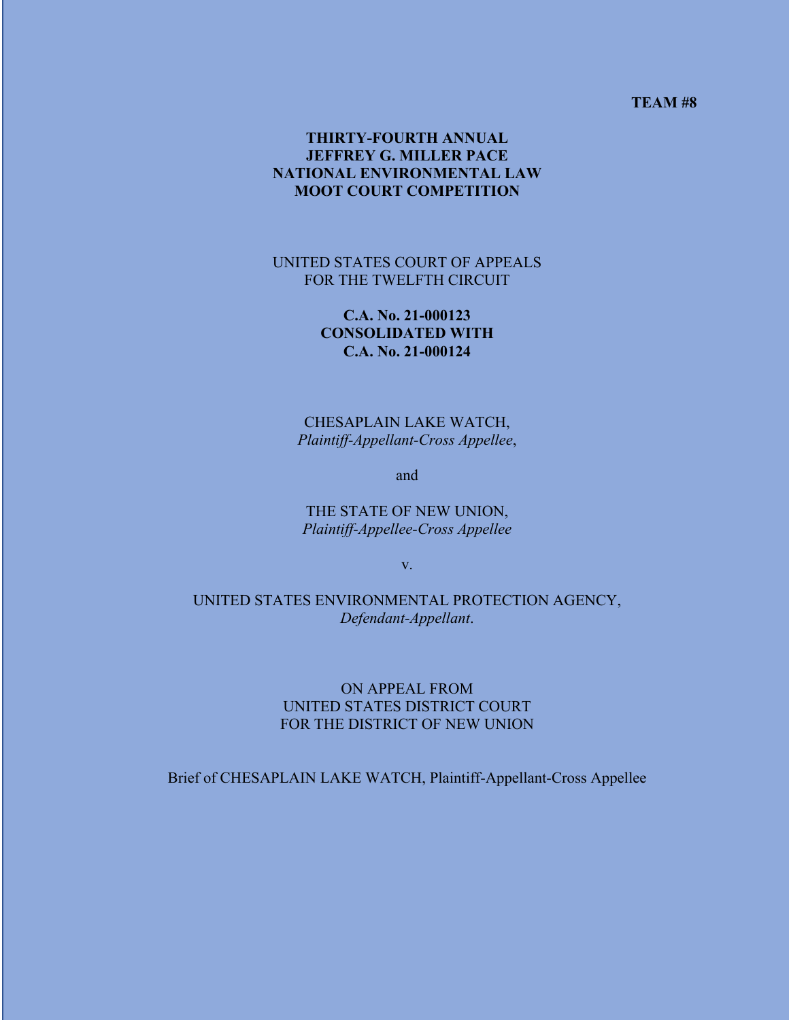**TEAM #8**

## **THIRTY-FOURTH ANNUAL JEFFREY G. MILLER PACE NATIONAL ENVIRONMENTAL LAW MOOT COURT COMPETITION**

### UNITED STATES COURT OF APPEALS FOR THE TWELFTH CIRCUIT

## **C.A. No. 21-000123 CONSOLIDATED WITH C.A. No. 21-000124**

CHESAPLAIN LAKE WATCH, *Plaintiff-Appellant-Cross Appellee*,

and

THE STATE OF NEW UNION, *Plaintiff-Appellee-Cross Appellee*

v.

UNITED STATES ENVIRONMENTAL PROTECTION AGENCY, *Defendant-Appellant*.

### ON APPEAL FROM UNITED STATES DISTRICT COURT FOR THE DISTRICT OF NEW UNION

Brief of CHESAPLAIN LAKE WATCH, Plaintiff-Appellant-Cross Appellee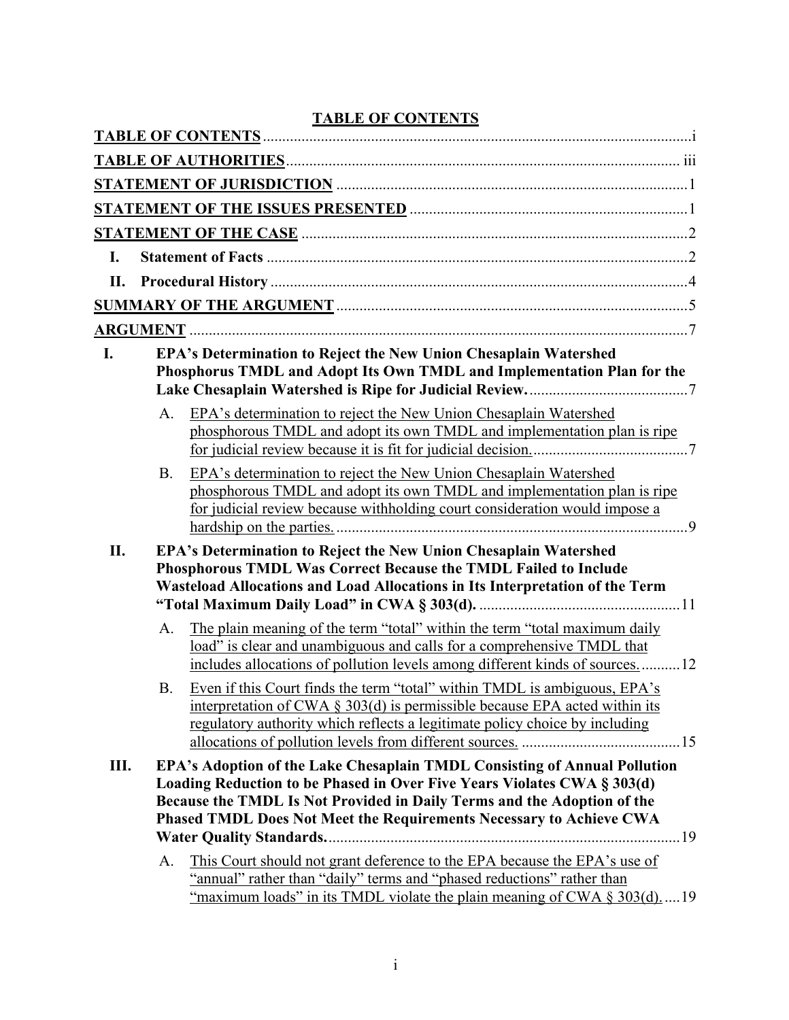|                |           | <u>LADLE OF CONTENTS</u>                                                                                                                                                                                                                                                                                                                                                                                                                                      |
|----------------|-----------|---------------------------------------------------------------------------------------------------------------------------------------------------------------------------------------------------------------------------------------------------------------------------------------------------------------------------------------------------------------------------------------------------------------------------------------------------------------|
|                |           |                                                                                                                                                                                                                                                                                                                                                                                                                                                               |
|                |           |                                                                                                                                                                                                                                                                                                                                                                                                                                                               |
|                |           |                                                                                                                                                                                                                                                                                                                                                                                                                                                               |
|                |           |                                                                                                                                                                                                                                                                                                                                                                                                                                                               |
| $\mathbf{I}$ . |           |                                                                                                                                                                                                                                                                                                                                                                                                                                                               |
|                |           |                                                                                                                                                                                                                                                                                                                                                                                                                                                               |
|                |           |                                                                                                                                                                                                                                                                                                                                                                                                                                                               |
|                |           |                                                                                                                                                                                                                                                                                                                                                                                                                                                               |
| I.             |           | EPA's Determination to Reject the New Union Chesaplain Watershed<br>Phosphorus TMDL and Adopt Its Own TMDL and Implementation Plan for the                                                                                                                                                                                                                                                                                                                    |
|                | A.        | EPA's determination to reject the New Union Chesaplain Watershed<br>phosphorous TMDL and adopt its own TMDL and implementation plan is ripe                                                                                                                                                                                                                                                                                                                   |
|                | <b>B.</b> | EPA's determination to reject the New Union Chesaplain Watershed<br>phosphorous TMDL and adopt its own TMDL and implementation plan is ripe<br>for judicial review because withholding court consideration would impose a                                                                                                                                                                                                                                     |
| II.            |           | EPA's Determination to Reject the New Union Chesaplain Watershed<br>Phosphorous TMDL Was Correct Because the TMDL Failed to Include<br>Wasteload Allocations and Load Allocations in Its Interpretation of the Term                                                                                                                                                                                                                                           |
|                | A.        | The plain meaning of the term "total" within the term "total maximum daily<br>load" is clear and unambiguous and calls for a comprehensive TMDL that<br>includes allocations of pollution levels among different kinds of sources12                                                                                                                                                                                                                           |
|                | <b>B.</b> | Even if this Court finds the term "total" within TMDL is ambiguous, EPA's<br>interpretation of CWA $\S$ 303(d) is permissible because EPA acted within its<br>regulatory authority which reflects a legitimate policy choice by including                                                                                                                                                                                                                     |
| Ш.             | A.        | EPA's Adoption of the Lake Chesaplain TMDL Consisting of Annual Pollution<br>Loading Reduction to be Phased in Over Five Years Violates CWA § 303(d)<br>Because the TMDL Is Not Provided in Daily Terms and the Adoption of the<br>Phased TMDL Does Not Meet the Requirements Necessary to Achieve CWA<br>This Court should not grant deference to the EPA because the EPA's use of<br>"annual" rather than "daily" terms and "phased reductions" rather than |
|                |           | "maximum loads" in its TMDL violate the plain meaning of CWA § 303(d)19                                                                                                                                                                                                                                                                                                                                                                                       |

# **TABLE OF CONTENTS**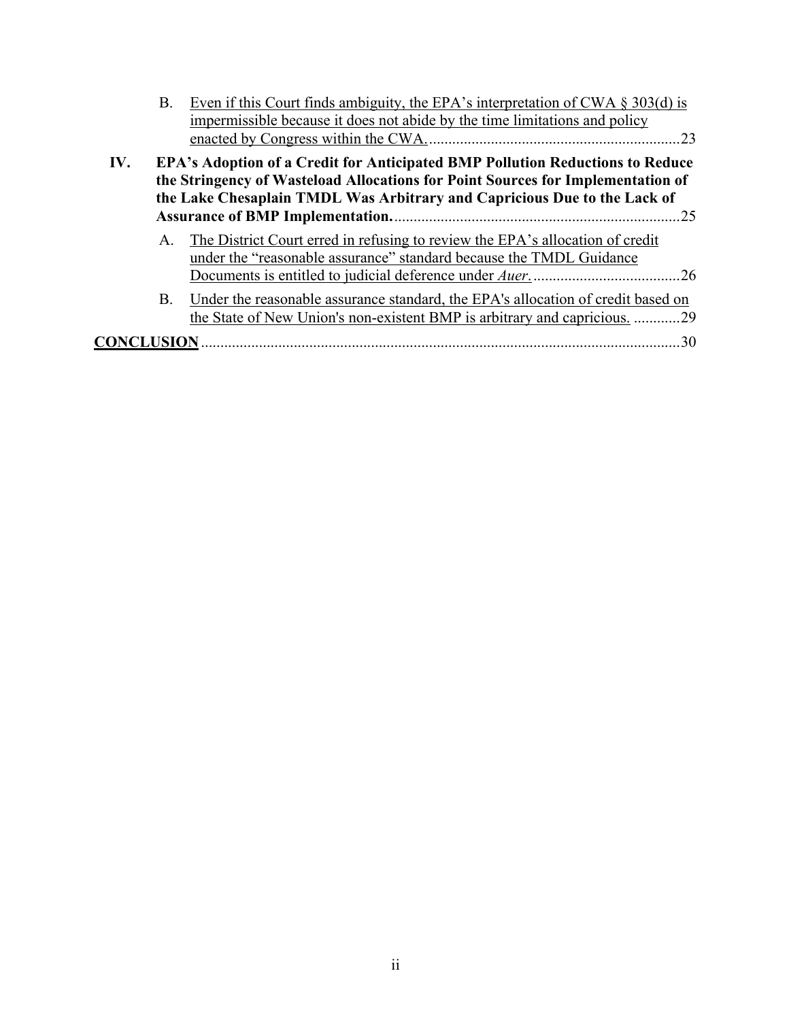|     | Β.        | Even if this Court finds ambiguity, the EPA's interpretation of CWA $\S$ 303(d) is<br>impermissible because it does not abide by the time limitations and policy                                                                                    |  |
|-----|-----------|-----------------------------------------------------------------------------------------------------------------------------------------------------------------------------------------------------------------------------------------------------|--|
| IV. |           | <b>EPA's Adoption of a Credit for Anticipated BMP Pollution Reductions to Reduce</b><br>the Stringency of Wasteload Allocations for Point Sources for Implementation of<br>the Lake Chesaplain TMDL Was Arbitrary and Capricious Due to the Lack of |  |
|     | A.        | The District Court erred in refusing to review the EPA's allocation of credit<br>under the "reasonable assurance" standard because the TMDL Guidance                                                                                                |  |
|     | <b>B.</b> | Under the reasonable assurance standard, the EPA's allocation of credit based on<br>the State of New Union's non-existent BMP is arbitrary and capricious. 29                                                                                       |  |
|     |           |                                                                                                                                                                                                                                                     |  |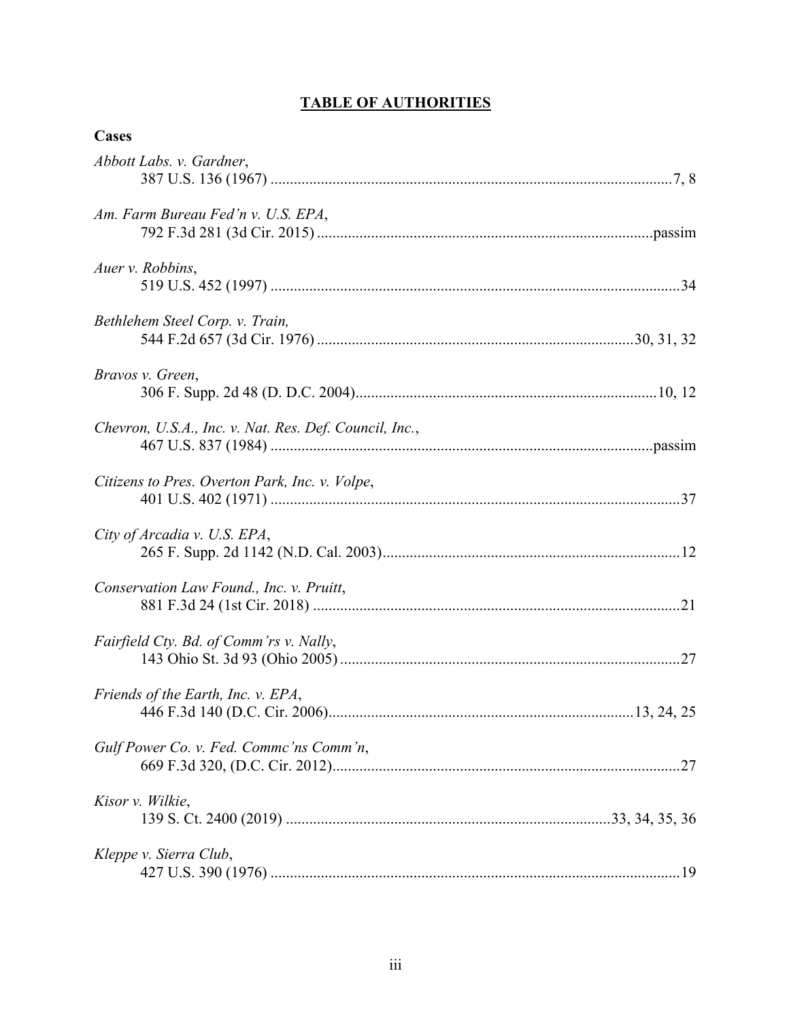# **TABLE OF AUTHORITIES**

| Cases                                                  |
|--------------------------------------------------------|
| Abbott Labs. v. Gardner,                               |
| Am. Farm Bureau Fed'n v. U.S. EPA,                     |
| Auer v. Robbins,                                       |
| Bethlehem Steel Corp. v. Train,                        |
| Bravos v. Green,                                       |
| Chevron, U.S.A., Inc. v. Nat. Res. Def. Council, Inc., |
| Citizens to Pres. Overton Park, Inc. v. Volpe,         |
| City of Arcadia v. U.S. EPA,                           |
| Conservation Law Found., Inc. v. Pruitt,               |
| Fairfield Cty. Bd. of Comm'rs v. Nally,                |
| Friends of the Earth, Inc. v. EPA,                     |
| Gulf Power Co. v. Fed. Commc'ns Comm'n,                |
| Kisor v. Wilkie,                                       |
| Kleppe v. Sierra Club,                                 |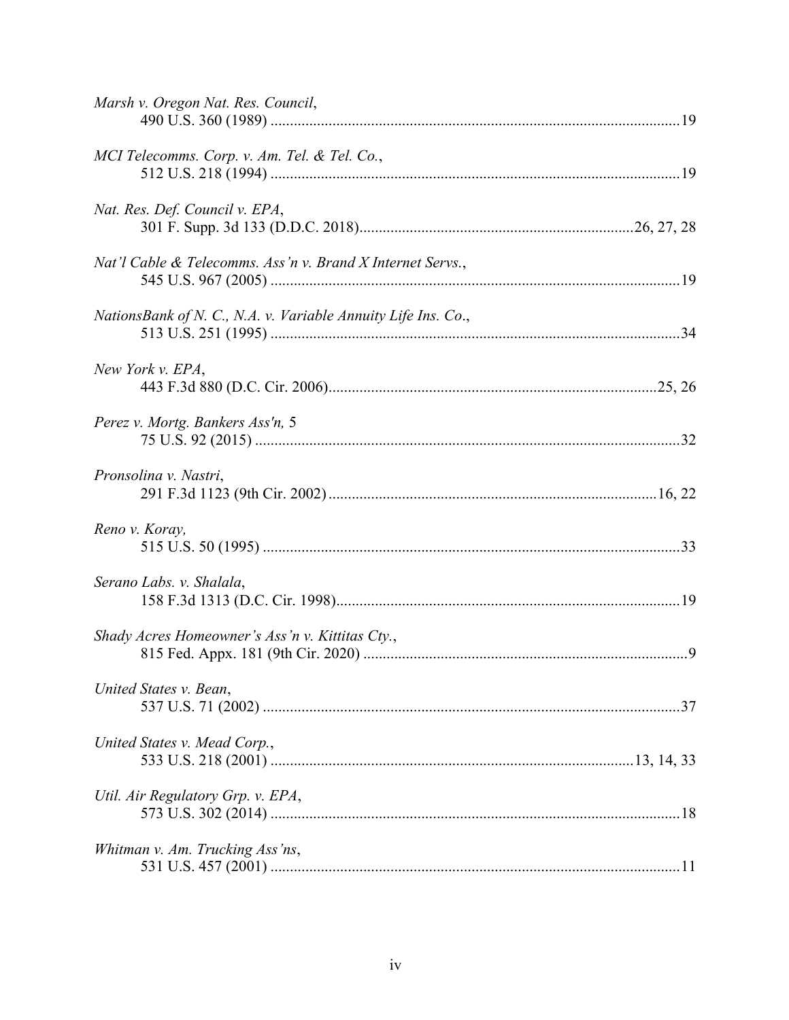| Marsh v. Oregon Nat. Res. Council,                            |
|---------------------------------------------------------------|
| MCI Telecomms. Corp. v. Am. Tel. & Tel. Co.,                  |
| Nat. Res. Def. Council v. EPA,                                |
| Nat'l Cable & Telecomms. Ass'n v. Brand X Internet Servs.,    |
| NationsBank of N. C., N.A. v. Variable Annuity Life Ins. Co., |
| New York v. EPA,                                              |
| Perez v. Mortg. Bankers Ass'n, 5                              |
| Pronsolina v. Nastri,                                         |
| Reno v. Koray,                                                |
| Serano Labs. v. Shalala,                                      |
| Shady Acres Homeowner's Ass'n v. Kittitas Cty.,               |
| United States v. Bean,                                        |
| United States v. Mead Corp.,                                  |
| Util. Air Regulatory Grp. v. EPA,                             |
| Whitman v. Am. Trucking Ass'ns,                               |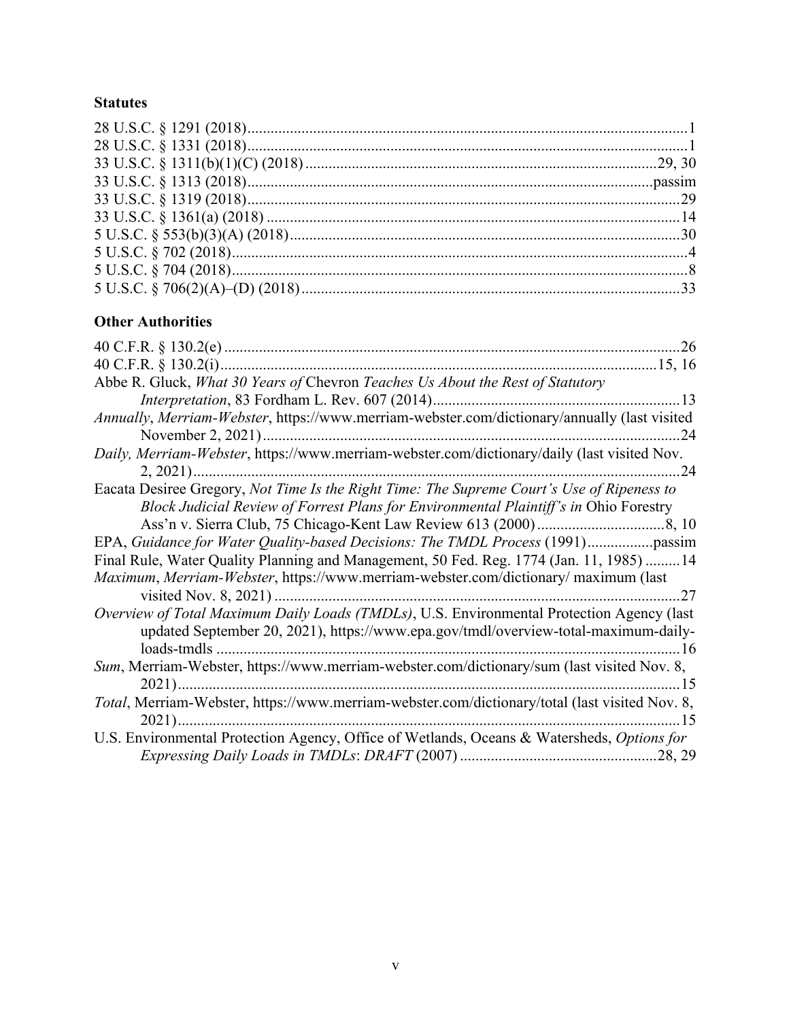## **Statutes**

# **Other Authorities**

| Abbe R. Gluck, What 30 Years of Chevron Teaches Us About the Rest of Statutory                                                                                                          |
|-----------------------------------------------------------------------------------------------------------------------------------------------------------------------------------------|
|                                                                                                                                                                                         |
| Annually, Merriam-Webster, https://www.merriam-webster.com/dictionary/annually (last visited                                                                                            |
| .24                                                                                                                                                                                     |
| Daily, Merriam-Webster, https://www.merriam-webster.com/dictionary/daily (last visited Nov.                                                                                             |
| 24                                                                                                                                                                                      |
| Eacata Desiree Gregory, Not Time Is the Right Time: The Supreme Court's Use of Ripeness to<br>Block Judicial Review of Forrest Plans for Environmental Plaintiff's in Ohio Forestry     |
|                                                                                                                                                                                         |
| EPA, Guidance for Water Quality-based Decisions: The TMDL Process (1991)passim                                                                                                          |
| Final Rule, Water Quality Planning and Management, 50 Fed. Reg. 1774 (Jan. 11, 1985)  14                                                                                                |
| Maximum, Merriam-Webster, https://www.merriam-webster.com/dictionary/ maximum (last                                                                                                     |
| Overview of Total Maximum Daily Loads (TMDLs), U.S. Environmental Protection Agency (last<br>updated September 20, 2021), https://www.epa.gov/tmdl/overview-total-maximum-daily-<br>.16 |
| Sum, Merriam-Webster, https://www.merriam-webster.com/dictionary/sum (last visited Nov. 8,<br>. 15                                                                                      |
| Total, Merriam-Webster, https://www.merriam-webster.com/dictionary/total (last visited Nov. 8,<br>. 15                                                                                  |
| U.S. Environmental Protection Agency, Office of Wetlands, Oceans & Watersheds, Options for                                                                                              |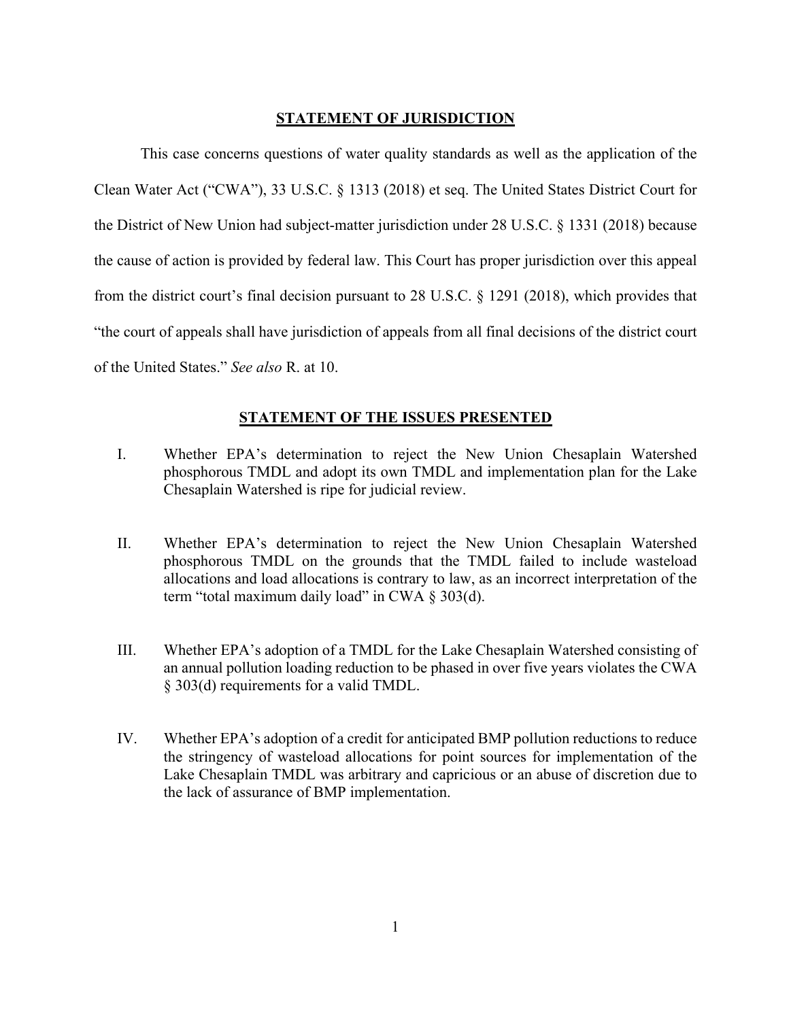### **STATEMENT OF JURISDICTION**

This case concerns questions of water quality standards as well as the application of the Clean Water Act ("CWA"), 33 U.S.C. § 1313 (2018) et seq. The United States District Court for the District of New Union had subject-matter jurisdiction under 28 U.S.C. § 1331 (2018) because the cause of action is provided by federal law. This Court has proper jurisdiction over this appeal from the district court's final decision pursuant to 28 U.S.C. § 1291 (2018), which provides that "the court of appeals shall have jurisdiction of appeals from all final decisions of the district court of the United States." *See also* R. at 10.

### **STATEMENT OF THE ISSUES PRESENTED**

- I. Whether EPA's determination to reject the New Union Chesaplain Watershed phosphorous TMDL and adopt its own TMDL and implementation plan for the Lake Chesaplain Watershed is ripe for judicial review.
- II. Whether EPA's determination to reject the New Union Chesaplain Watershed phosphorous TMDL on the grounds that the TMDL failed to include wasteload allocations and load allocations is contrary to law, as an incorrect interpretation of the term "total maximum daily load" in CWA § 303(d).
- III. Whether EPA's adoption of a TMDL for the Lake Chesaplain Watershed consisting of an annual pollution loading reduction to be phased in over five years violates the CWA § 303(d) requirements for a valid TMDL.
- IV. Whether EPA's adoption of a credit for anticipated BMP pollution reductions to reduce the stringency of wasteload allocations for point sources for implementation of the Lake Chesaplain TMDL was arbitrary and capricious or an abuse of discretion due to the lack of assurance of BMP implementation.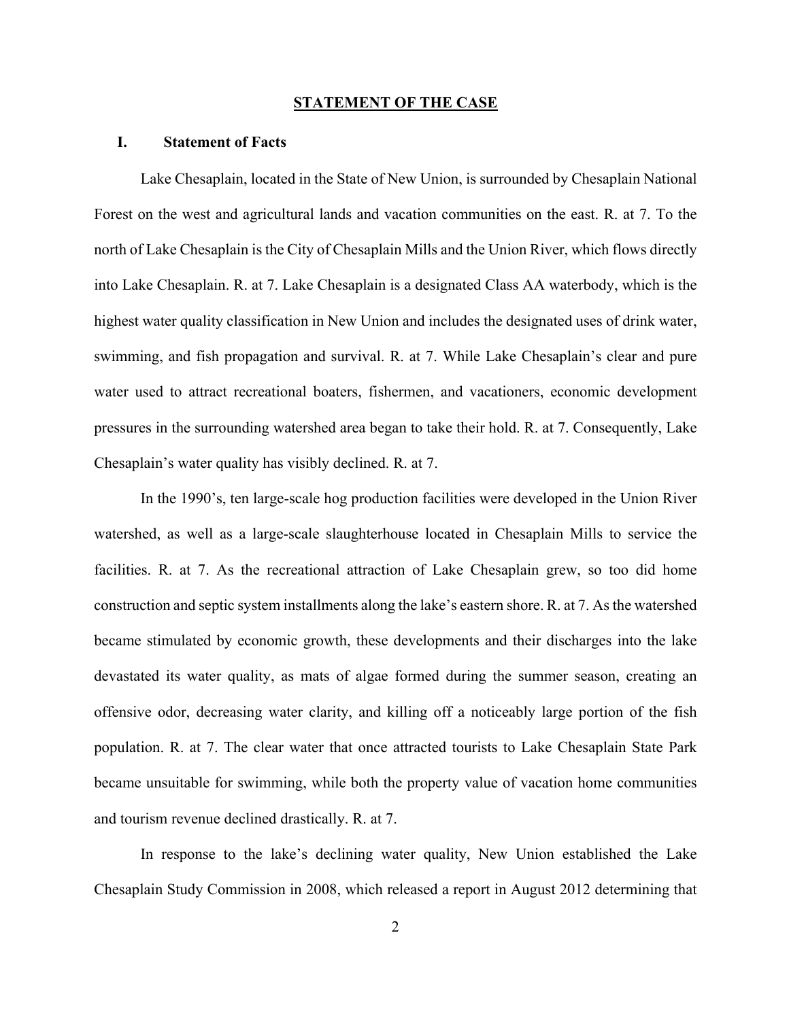#### **STATEMENT OF THE CASE**

### **I. Statement of Facts**

Lake Chesaplain, located in the State of New Union, is surrounded by Chesaplain National Forest on the west and agricultural lands and vacation communities on the east. R. at 7. To the north of Lake Chesaplain is the City of Chesaplain Mills and the Union River, which flows directly into Lake Chesaplain. R. at 7. Lake Chesaplain is a designated Class AA waterbody, which is the highest water quality classification in New Union and includes the designated uses of drink water, swimming, and fish propagation and survival. R. at 7. While Lake Chesaplain's clear and pure water used to attract recreational boaters, fishermen, and vacationers, economic development pressures in the surrounding watershed area began to take their hold. R. at 7. Consequently, Lake Chesaplain's water quality has visibly declined. R. at 7.

In the 1990's, ten large-scale hog production facilities were developed in the Union River watershed, as well as a large-scale slaughterhouse located in Chesaplain Mills to service the facilities. R. at 7. As the recreational attraction of Lake Chesaplain grew, so too did home construction and septic system installments along the lake's eastern shore. R. at 7. As the watershed became stimulated by economic growth, these developments and their discharges into the lake devastated its water quality, as mats of algae formed during the summer season, creating an offensive odor, decreasing water clarity, and killing off a noticeably large portion of the fish population. R. at 7. The clear water that once attracted tourists to Lake Chesaplain State Park became unsuitable for swimming, while both the property value of vacation home communities and tourism revenue declined drastically. R. at 7.

In response to the lake's declining water quality, New Union established the Lake Chesaplain Study Commission in 2008, which released a report in August 2012 determining that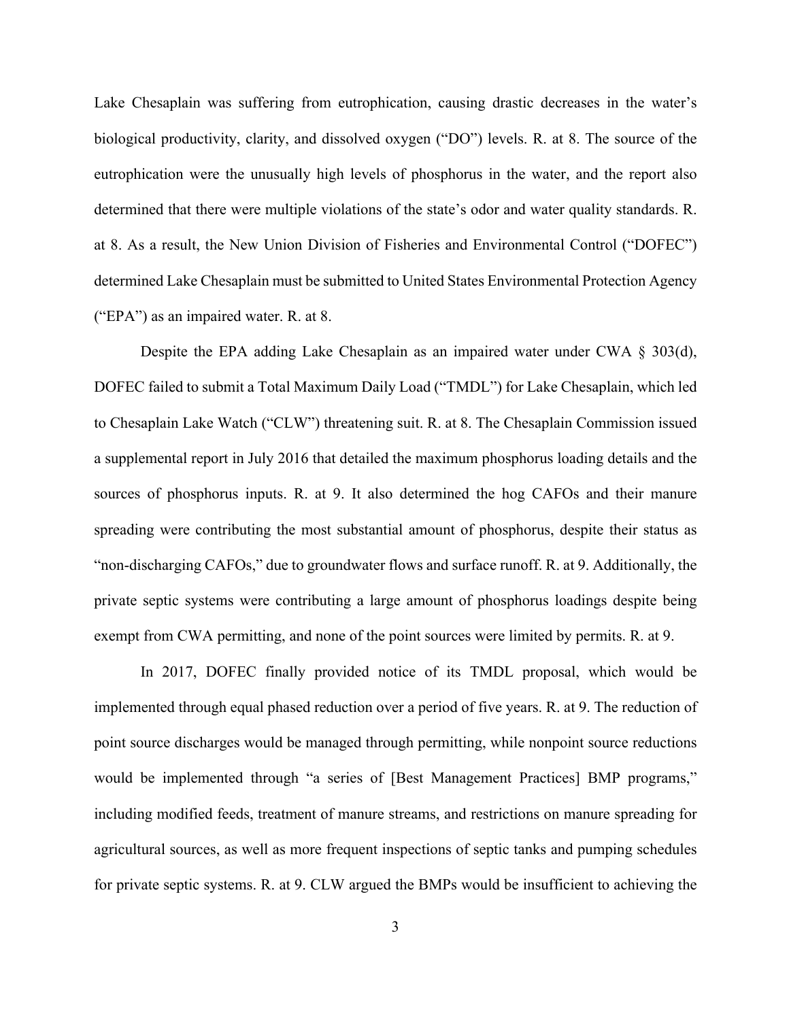Lake Chesaplain was suffering from eutrophication, causing drastic decreases in the water's biological productivity, clarity, and dissolved oxygen ("DO") levels. R. at 8. The source of the eutrophication were the unusually high levels of phosphorus in the water, and the report also determined that there were multiple violations of the state's odor and water quality standards. R. at 8. As a result, the New Union Division of Fisheries and Environmental Control ("DOFEC") determined Lake Chesaplain must be submitted to United States Environmental Protection Agency ("EPA") as an impaired water. R. at 8.

Despite the EPA adding Lake Chesaplain as an impaired water under CWA § 303(d), DOFEC failed to submit a Total Maximum Daily Load ("TMDL") for Lake Chesaplain, which led to Chesaplain Lake Watch ("CLW") threatening suit. R. at 8. The Chesaplain Commission issued a supplemental report in July 2016 that detailed the maximum phosphorus loading details and the sources of phosphorus inputs. R. at 9. It also determined the hog CAFOs and their manure spreading were contributing the most substantial amount of phosphorus, despite their status as "non-discharging CAFOs," due to groundwater flows and surface runoff. R. at 9. Additionally, the private septic systems were contributing a large amount of phosphorus loadings despite being exempt from CWA permitting, and none of the point sources were limited by permits. R. at 9.

In 2017, DOFEC finally provided notice of its TMDL proposal, which would be implemented through equal phased reduction over a period of five years. R. at 9. The reduction of point source discharges would be managed through permitting, while nonpoint source reductions would be implemented through "a series of [Best Management Practices] BMP programs," including modified feeds, treatment of manure streams, and restrictions on manure spreading for agricultural sources, as well as more frequent inspections of septic tanks and pumping schedules for private septic systems. R. at 9. CLW argued the BMPs would be insufficient to achieving the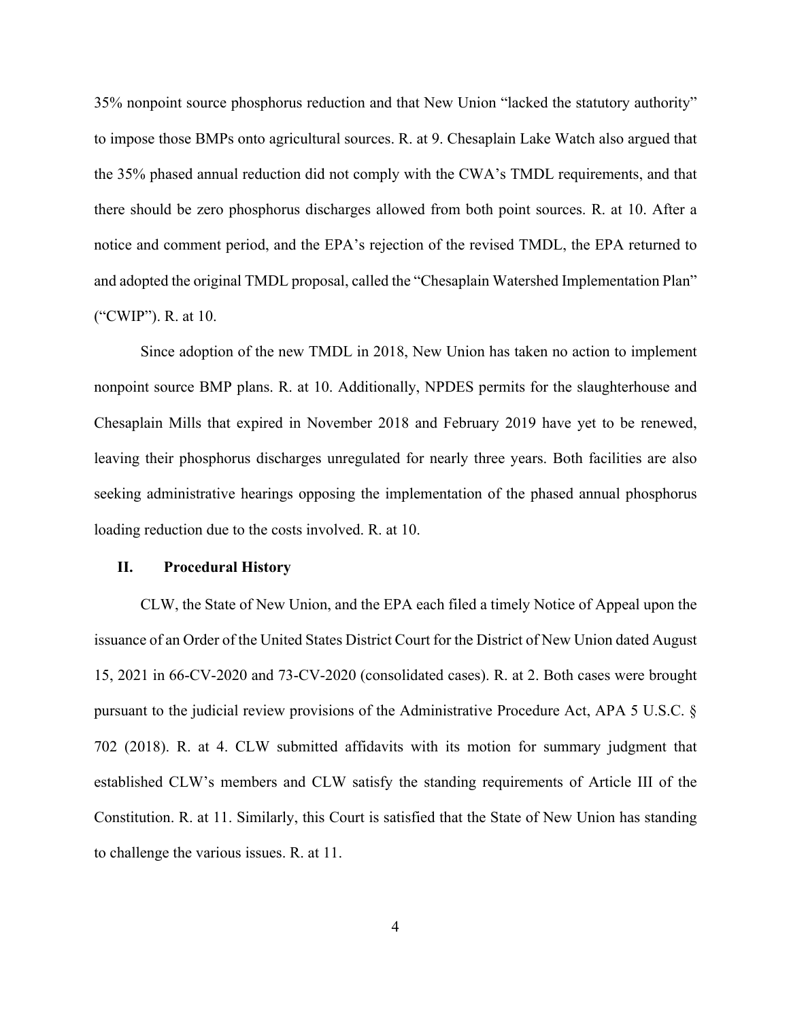35% nonpoint source phosphorus reduction and that New Union "lacked the statutory authority" to impose those BMPs onto agricultural sources. R. at 9. Chesaplain Lake Watch also argued that the 35% phased annual reduction did not comply with the CWA's TMDL requirements, and that there should be zero phosphorus discharges allowed from both point sources. R. at 10. After a notice and comment period, and the EPA's rejection of the revised TMDL, the EPA returned to and adopted the original TMDL proposal, called the "Chesaplain Watershed Implementation Plan" ("CWIP"). R. at 10.

Since adoption of the new TMDL in 2018, New Union has taken no action to implement nonpoint source BMP plans. R. at 10. Additionally, NPDES permits for the slaughterhouse and Chesaplain Mills that expired in November 2018 and February 2019 have yet to be renewed, leaving their phosphorus discharges unregulated for nearly three years. Both facilities are also seeking administrative hearings opposing the implementation of the phased annual phosphorus loading reduction due to the costs involved. R. at 10.

#### **II. Procedural History**

CLW, the State of New Union, and the EPA each filed a timely Notice of Appeal upon the issuance of an Order of the United States District Court for the District of New Union dated August 15, 2021 in 66-CV-2020 and 73-CV-2020 (consolidated cases). R. at 2. Both cases were brought pursuant to the judicial review provisions of the Administrative Procedure Act, APA 5 U.S.C. § 702 (2018). R. at 4. CLW submitted affidavits with its motion for summary judgment that established CLW's members and CLW satisfy the standing requirements of Article III of the Constitution. R. at 11. Similarly, this Court is satisfied that the State of New Union has standing to challenge the various issues. R. at 11.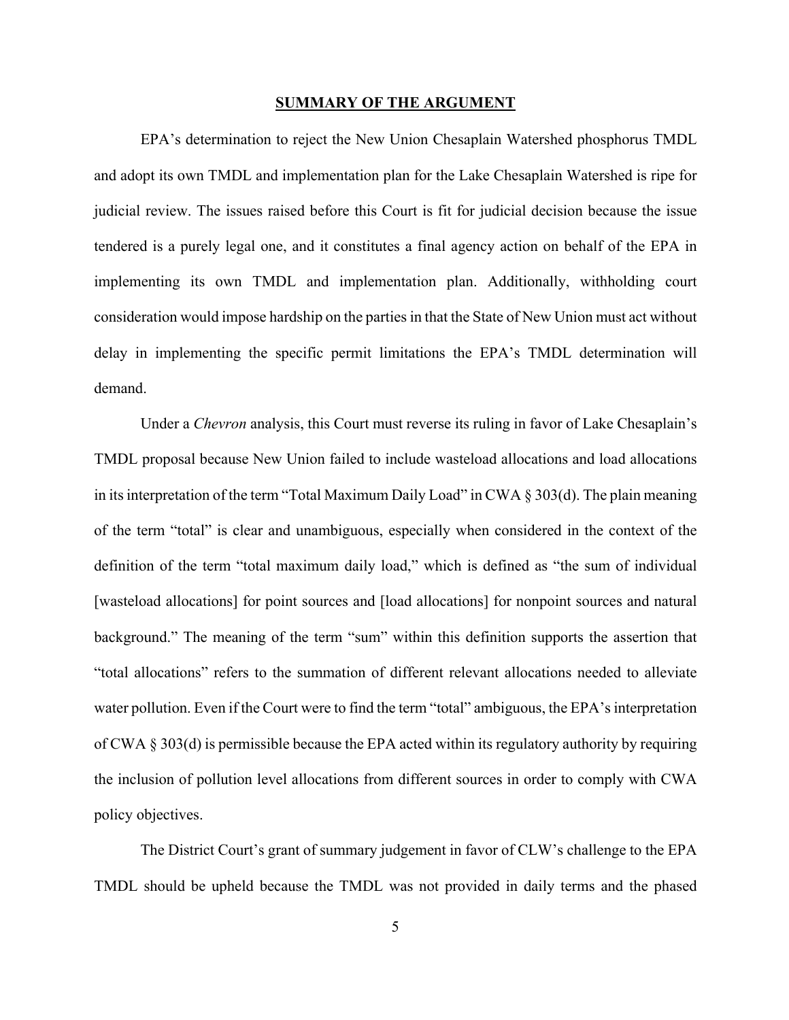#### **SUMMARY OF THE ARGUMENT**

EPA's determination to reject the New Union Chesaplain Watershed phosphorus TMDL and adopt its own TMDL and implementation plan for the Lake Chesaplain Watershed is ripe for judicial review. The issues raised before this Court is fit for judicial decision because the issue tendered is a purely legal one, and it constitutes a final agency action on behalf of the EPA in implementing its own TMDL and implementation plan. Additionally, withholding court consideration would impose hardship on the parties in that the State of New Union must act without delay in implementing the specific permit limitations the EPA's TMDL determination will demand.

Under a *Chevron* analysis, this Court must reverse its ruling in favor of Lake Chesaplain's TMDL proposal because New Union failed to include wasteload allocations and load allocations in its interpretation of the term "Total Maximum Daily Load" in CWA § 303(d). The plain meaning of the term "total" is clear and unambiguous, especially when considered in the context of the definition of the term "total maximum daily load," which is defined as "the sum of individual [wasteload allocations] for point sources and [load allocations] for nonpoint sources and natural background." The meaning of the term "sum" within this definition supports the assertion that "total allocations" refers to the summation of different relevant allocations needed to alleviate water pollution. Even if the Court were to find the term "total" ambiguous, the EPA's interpretation of CWA § 303(d) is permissible because the EPA acted within its regulatory authority by requiring the inclusion of pollution level allocations from different sources in order to comply with CWA policy objectives.

The District Court's grant of summary judgement in favor of CLW's challenge to the EPA TMDL should be upheld because the TMDL was not provided in daily terms and the phased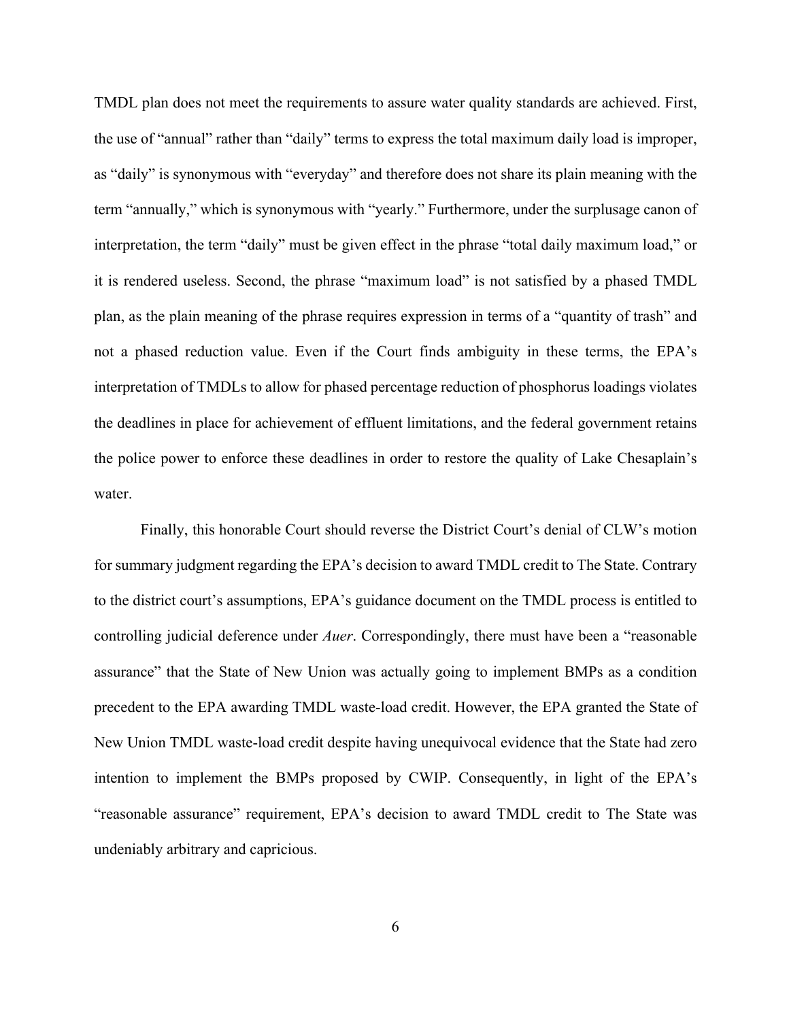TMDL plan does not meet the requirements to assure water quality standards are achieved. First, the use of "annual" rather than "daily" terms to express the total maximum daily load is improper, as "daily" is synonymous with "everyday" and therefore does not share its plain meaning with the term "annually," which is synonymous with "yearly." Furthermore, under the surplusage canon of interpretation, the term "daily" must be given effect in the phrase "total daily maximum load," or it is rendered useless. Second, the phrase "maximum load" is not satisfied by a phased TMDL plan, as the plain meaning of the phrase requires expression in terms of a "quantity of trash" and not a phased reduction value. Even if the Court finds ambiguity in these terms, the EPA's interpretation of TMDLs to allow for phased percentage reduction of phosphorus loadings violates the deadlines in place for achievement of effluent limitations, and the federal government retains the police power to enforce these deadlines in order to restore the quality of Lake Chesaplain's water.

Finally, this honorable Court should reverse the District Court's denial of CLW's motion for summary judgment regarding the EPA's decision to award TMDL credit to The State. Contrary to the district court's assumptions, EPA's guidance document on the TMDL process is entitled to controlling judicial deference under *Auer*. Correspondingly, there must have been a "reasonable assurance" that the State of New Union was actually going to implement BMPs as a condition precedent to the EPA awarding TMDL waste-load credit. However, the EPA granted the State of New Union TMDL waste-load credit despite having unequivocal evidence that the State had zero intention to implement the BMPs proposed by CWIP. Consequently, in light of the EPA's "reasonable assurance" requirement, EPA's decision to award TMDL credit to The State was undeniably arbitrary and capricious.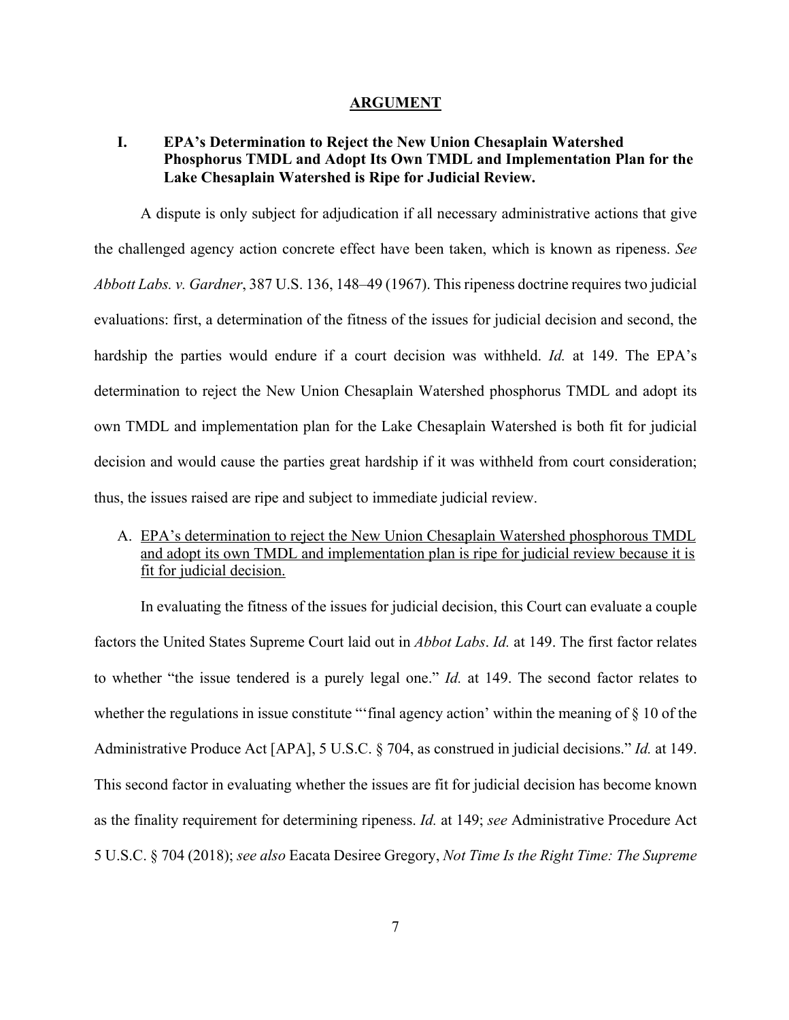#### **ARGUMENT**

## **I. EPA's Determination to Reject the New Union Chesaplain Watershed Phosphorus TMDL and Adopt Its Own TMDL and Implementation Plan for the Lake Chesaplain Watershed is Ripe for Judicial Review.**

A dispute is only subject for adjudication if all necessary administrative actions that give the challenged agency action concrete effect have been taken, which is known as ripeness. *See Abbott Labs. v. Gardner*, 387 U.S. 136, 148–49 (1967). This ripeness doctrine requires two judicial evaluations: first, a determination of the fitness of the issues for judicial decision and second, the hardship the parties would endure if a court decision was withheld. *Id.* at 149. The EPA's determination to reject the New Union Chesaplain Watershed phosphorus TMDL and adopt its own TMDL and implementation plan for the Lake Chesaplain Watershed is both fit for judicial decision and would cause the parties great hardship if it was withheld from court consideration; thus, the issues raised are ripe and subject to immediate judicial review.

## A. EPA's determination to reject the New Union Chesaplain Watershed phosphorous TMDL and adopt its own TMDL and implementation plan is ripe for judicial review because it is fit for judicial decision.

In evaluating the fitness of the issues for judicial decision, this Court can evaluate a couple factors the United States Supreme Court laid out in *Abbot Labs*. *Id.* at 149. The first factor relates to whether "the issue tendered is a purely legal one." *Id.* at 149. The second factor relates to whether the regulations in issue constitute "'final agency action' within the meaning of § 10 of the Administrative Produce Act [APA], 5 U.S.C. § 704, as construed in judicial decisions." *Id.* at 149. This second factor in evaluating whether the issues are fit for judicial decision has become known as the finality requirement for determining ripeness. *Id.* at 149; *see* Administrative Procedure Act 5 U.S.C. § 704 (2018); *see also* Eacata Desiree Gregory, *Not Time Is the Right Time: The Supreme*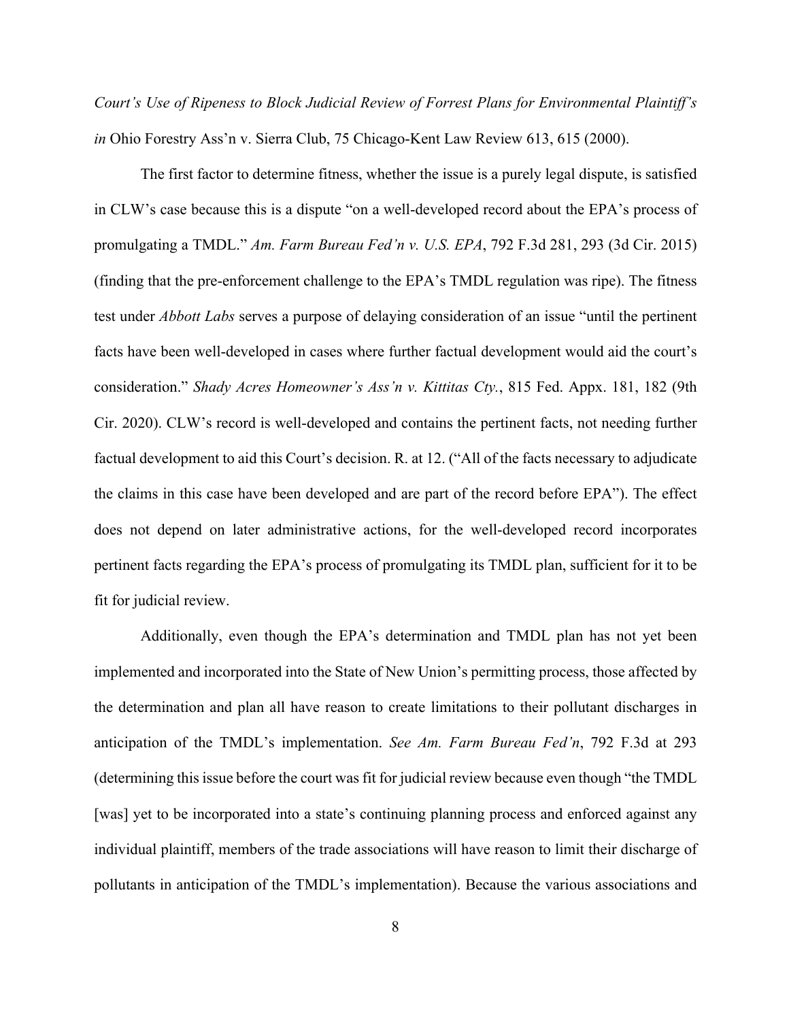*Court's Use of Ripeness to Block Judicial Review of Forrest Plans for Environmental Plaintiff's in* Ohio Forestry Ass'n v. Sierra Club, 75 Chicago-Kent Law Review 613, 615 (2000).

The first factor to determine fitness, whether the issue is a purely legal dispute, is satisfied in CLW's case because this is a dispute "on a well-developed record about the EPA's process of promulgating a TMDL." *Am. Farm Bureau Fed'n v. U.S. EPA*, 792 F.3d 281, 293 (3d Cir. 2015) (finding that the pre-enforcement challenge to the EPA's TMDL regulation was ripe). The fitness test under *Abbott Labs* serves a purpose of delaying consideration of an issue "until the pertinent facts have been well-developed in cases where further factual development would aid the court's consideration." *Shady Acres Homeowner's Ass'n v. Kittitas Cty.*, 815 Fed. Appx. 181, 182 (9th Cir. 2020). CLW's record is well-developed and contains the pertinent facts, not needing further factual development to aid this Court's decision. R. at 12. ("All of the facts necessary to adjudicate the claims in this case have been developed and are part of the record before EPA"). The effect does not depend on later administrative actions, for the well-developed record incorporates pertinent facts regarding the EPA's process of promulgating its TMDL plan, sufficient for it to be fit for judicial review.

Additionally, even though the EPA's determination and TMDL plan has not yet been implemented and incorporated into the State of New Union's permitting process, those affected by the determination and plan all have reason to create limitations to their pollutant discharges in anticipation of the TMDL's implementation. *See Am. Farm Bureau Fed'n*, 792 F.3d at 293 (determining this issue before the court was fit for judicial review because even though "the TMDL [was] yet to be incorporated into a state's continuing planning process and enforced against any individual plaintiff, members of the trade associations will have reason to limit their discharge of pollutants in anticipation of the TMDL's implementation). Because the various associations and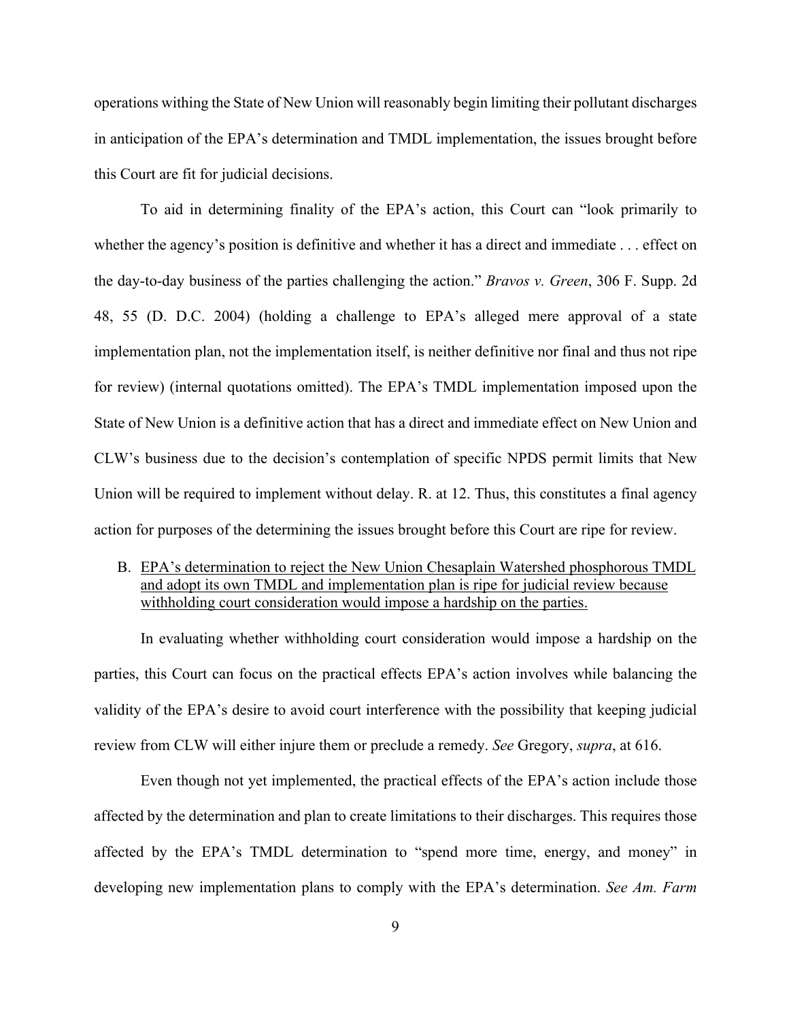operations withing the State of New Union will reasonably begin limiting their pollutant discharges in anticipation of the EPA's determination and TMDL implementation, the issues brought before this Court are fit for judicial decisions.

To aid in determining finality of the EPA's action, this Court can "look primarily to whether the agency's position is definitive and whether it has a direct and immediate . . . effect on the day-to-day business of the parties challenging the action." *Bravos v. Green*, 306 F. Supp. 2d 48, 55 (D. D.C. 2004) (holding a challenge to EPA's alleged mere approval of a state implementation plan, not the implementation itself, is neither definitive nor final and thus not ripe for review) (internal quotations omitted). The EPA's TMDL implementation imposed upon the State of New Union is a definitive action that has a direct and immediate effect on New Union and CLW's business due to the decision's contemplation of specific NPDS permit limits that New Union will be required to implement without delay. R. at 12. Thus, this constitutes a final agency action for purposes of the determining the issues brought before this Court are ripe for review.

## B. EPA's determination to reject the New Union Chesaplain Watershed phosphorous TMDL and adopt its own TMDL and implementation plan is ripe for judicial review because withholding court consideration would impose a hardship on the parties.

In evaluating whether withholding court consideration would impose a hardship on the parties, this Court can focus on the practical effects EPA's action involves while balancing the validity of the EPA's desire to avoid court interference with the possibility that keeping judicial review from CLW will either injure them or preclude a remedy. *See* Gregory, *supra*, at 616.

Even though not yet implemented, the practical effects of the EPA's action include those affected by the determination and plan to create limitations to their discharges. This requires those affected by the EPA's TMDL determination to "spend more time, energy, and money" in developing new implementation plans to comply with the EPA's determination. *See Am. Farm*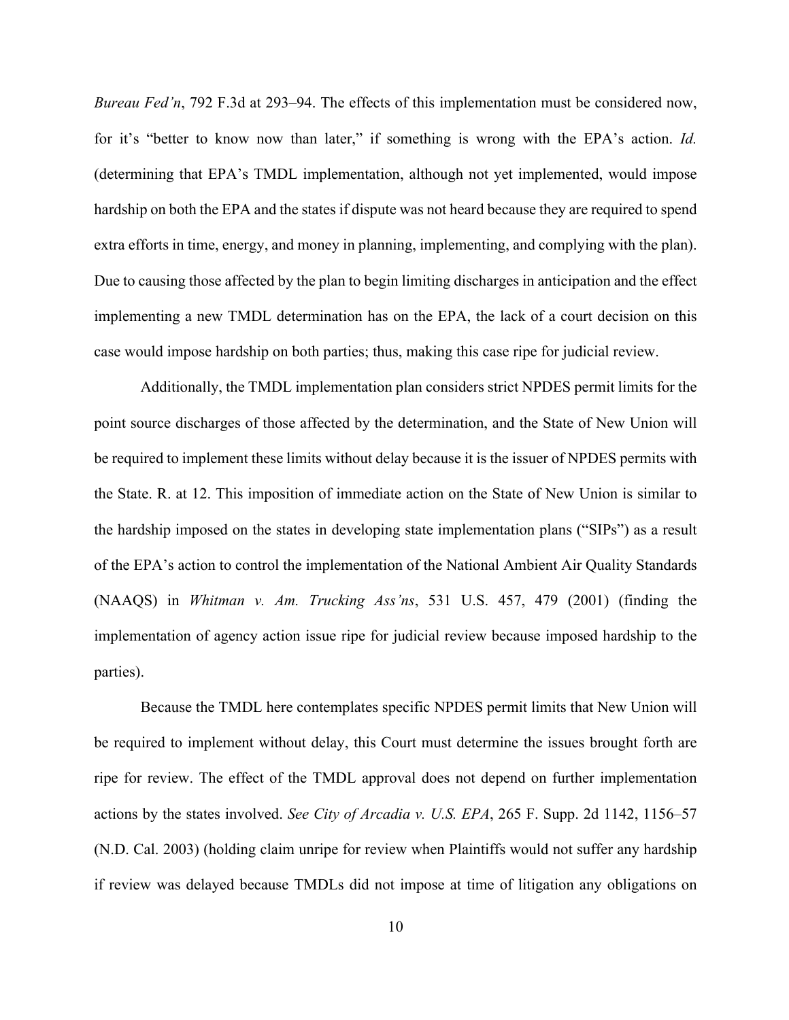*Bureau Fed'n*, 792 F.3d at 293–94. The effects of this implementation must be considered now, for it's "better to know now than later," if something is wrong with the EPA's action. *Id.* (determining that EPA's TMDL implementation, although not yet implemented, would impose hardship on both the EPA and the states if dispute was not heard because they are required to spend extra efforts in time, energy, and money in planning, implementing, and complying with the plan). Due to causing those affected by the plan to begin limiting discharges in anticipation and the effect implementing a new TMDL determination has on the EPA, the lack of a court decision on this case would impose hardship on both parties; thus, making this case ripe for judicial review.

Additionally, the TMDL implementation plan considers strict NPDES permit limits for the point source discharges of those affected by the determination, and the State of New Union will be required to implement these limits without delay because it is the issuer of NPDES permits with the State. R. at 12. This imposition of immediate action on the State of New Union is similar to the hardship imposed on the states in developing state implementation plans ("SIPs") as a result of the EPA's action to control the implementation of the National Ambient Air Quality Standards (NAAQS) in *Whitman v. Am. Trucking Ass'ns*, 531 U.S. 457, 479 (2001) (finding the implementation of agency action issue ripe for judicial review because imposed hardship to the parties).

Because the TMDL here contemplates specific NPDES permit limits that New Union will be required to implement without delay, this Court must determine the issues brought forth are ripe for review. The effect of the TMDL approval does not depend on further implementation actions by the states involved. *See City of Arcadia v. U.S. EPA*, 265 F. Supp. 2d 1142, 1156–57 (N.D. Cal. 2003) (holding claim unripe for review when Plaintiffs would not suffer any hardship if review was delayed because TMDLs did not impose at time of litigation any obligations on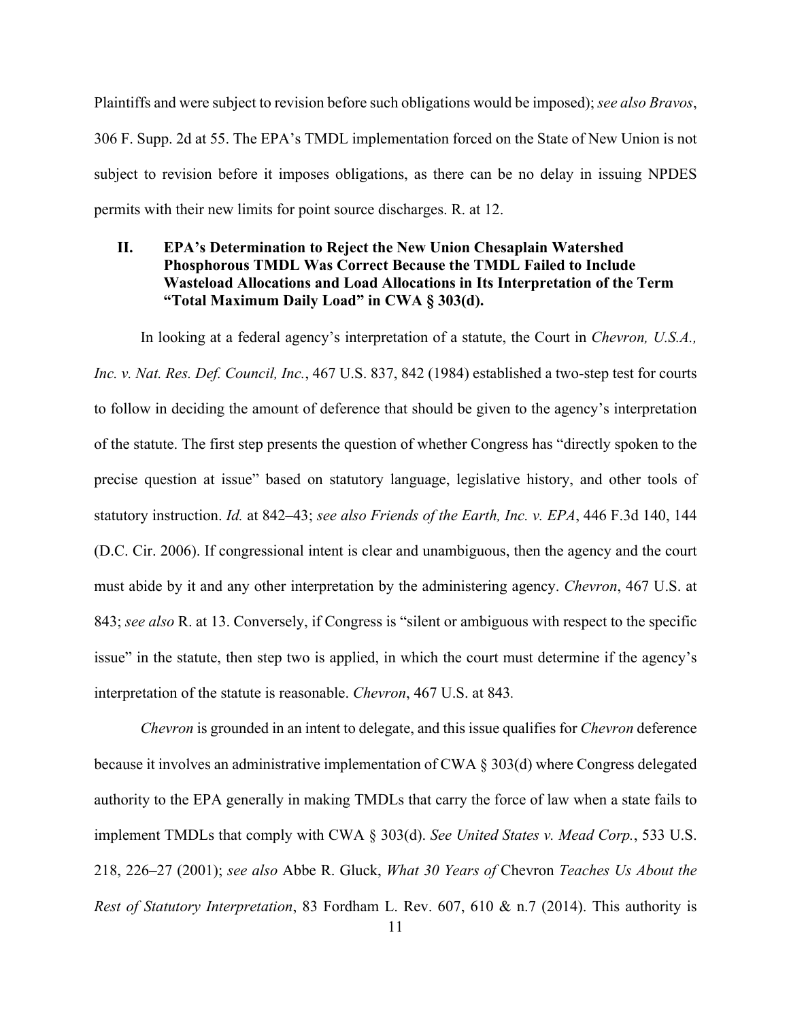Plaintiffs and were subject to revision before such obligations would be imposed); *see also Bravos*, 306 F. Supp. 2d at 55. The EPA's TMDL implementation forced on the State of New Union is not subject to revision before it imposes obligations, as there can be no delay in issuing NPDES permits with their new limits for point source discharges. R. at 12.

## **II. EPA's Determination to Reject the New Union Chesaplain Watershed Phosphorous TMDL Was Correct Because the TMDL Failed to Include Wasteload Allocations and Load Allocations in Its Interpretation of the Term "Total Maximum Daily Load" in CWA § 303(d).**

In looking at a federal agency's interpretation of a statute, the Court in *Chevron, U.S.A., Inc. v. Nat. Res. Def. Council, Inc.*, 467 U.S. 837, 842 (1984) established a two-step test for courts to follow in deciding the amount of deference that should be given to the agency's interpretation of the statute. The first step presents the question of whether Congress has "directly spoken to the precise question at issue" based on statutory language, legislative history, and other tools of statutory instruction. *Id.* at 842–43; *see also Friends of the Earth, Inc. v. EPA*, 446 F.3d 140, 144 (D.C. Cir. 2006). If congressional intent is clear and unambiguous, then the agency and the court must abide by it and any other interpretation by the administering agency. *Chevron*, 467 U.S. at 843; *see also* R. at 13. Conversely, if Congress is "silent or ambiguous with respect to the specific issue" in the statute, then step two is applied, in which the court must determine if the agency's interpretation of the statute is reasonable. *Chevron*, 467 U.S. at 843*.*

*Chevron* is grounded in an intent to delegate, and this issue qualifies for *Chevron* deference because it involves an administrative implementation of CWA § 303(d) where Congress delegated authority to the EPA generally in making TMDLs that carry the force of law when a state fails to implement TMDLs that comply with CWA § 303(d). *See United States v. Mead Corp.*, 533 U.S. 218, 226–27 (2001); *see also* Abbe R. Gluck, *What 30 Years of* Chevron *Teaches Us About the Rest of Statutory Interpretation*, 83 Fordham L. Rev. 607, 610 & n.7 (2014). This authority is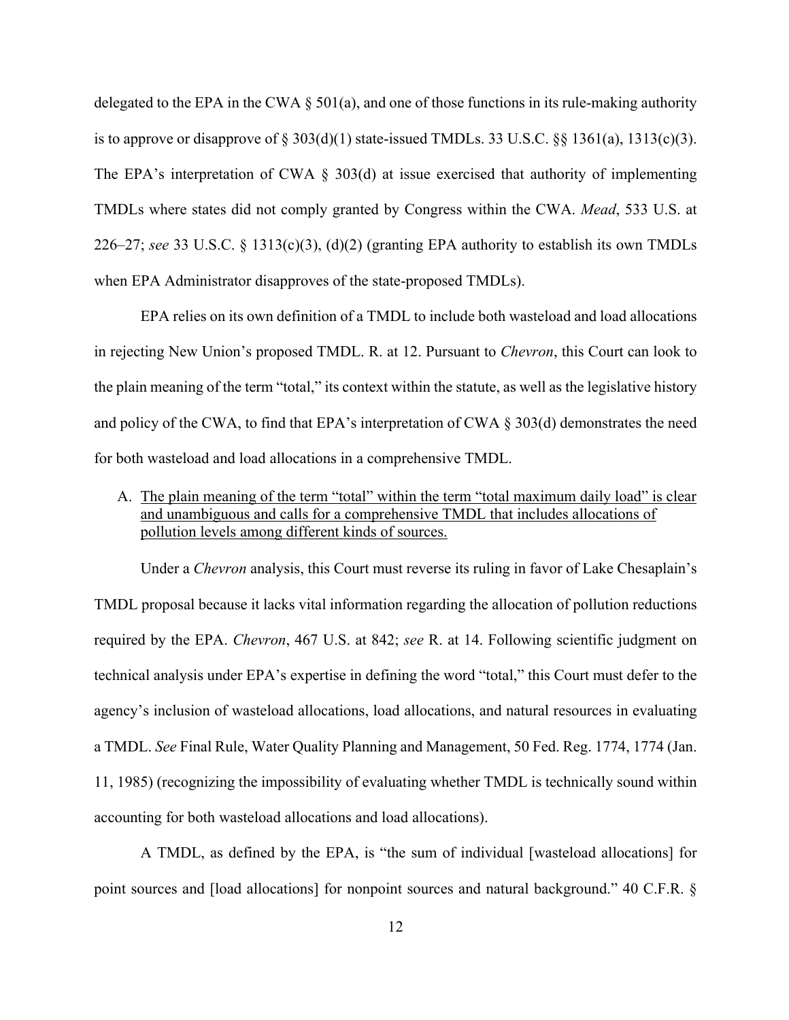delegated to the EPA in the CWA  $\S$  501(a), and one of those functions in its rule-making authority is to approve or disapprove of  $\S 303(d)(1)$  state-issued TMDLs. 33 U.S.C.  $\S \ \S 1361(a)$ , 1313(c)(3). The EPA's interpretation of CWA  $\S$  303(d) at issue exercised that authority of implementing TMDLs where states did not comply granted by Congress within the CWA. *Mead*, 533 U.S. at 226–27; *see* 33 U.S.C. § 1313(c)(3), (d)(2) (granting EPA authority to establish its own TMDLs when EPA Administrator disapproves of the state-proposed TMDLs).

EPA relies on its own definition of a TMDL to include both wasteload and load allocations in rejecting New Union's proposed TMDL. R. at 12. Pursuant to *Chevron*, this Court can look to the plain meaning of the term "total," its context within the statute, as well as the legislative history and policy of the CWA, to find that EPA's interpretation of CWA § 303(d) demonstrates the need for both wasteload and load allocations in a comprehensive TMDL.

A. The plain meaning of the term "total" within the term "total maximum daily load" is clear and unambiguous and calls for a comprehensive TMDL that includes allocations of pollution levels among different kinds of sources.

Under a *Chevron* analysis, this Court must reverse its ruling in favor of Lake Chesaplain's TMDL proposal because it lacks vital information regarding the allocation of pollution reductions required by the EPA. *Chevron*, 467 U.S. at 842; *see* R. at 14. Following scientific judgment on technical analysis under EPA's expertise in defining the word "total," this Court must defer to the agency's inclusion of wasteload allocations, load allocations, and natural resources in evaluating a TMDL. *See* Final Rule, Water Quality Planning and Management, 50 Fed. Reg. 1774, 1774 (Jan. 11, 1985) (recognizing the impossibility of evaluating whether TMDL is technically sound within accounting for both wasteload allocations and load allocations).

A TMDL, as defined by the EPA, is "the sum of individual [wasteload allocations] for point sources and [load allocations] for nonpoint sources and natural background." 40 C.F.R. §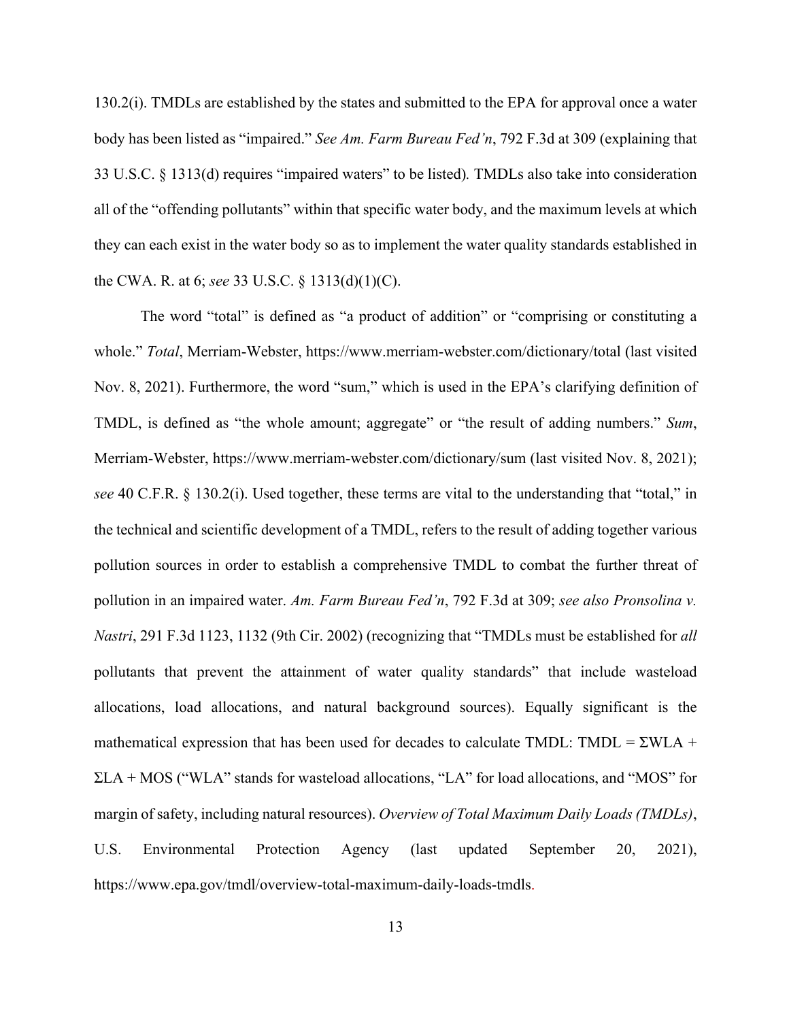130.2(i). TMDLs are established by the states and submitted to the EPA for approval once a water body has been listed as "impaired." *See Am. Farm Bureau Fed'n*, 792 F.3d at 309 (explaining that 33 U.S.C. § 1313(d) requires "impaired waters" to be listed)*.* TMDLs also take into consideration all of the "offending pollutants" within that specific water body, and the maximum levels at which they can each exist in the water body so as to implement the water quality standards established in the CWA. R. at 6; *see* 33 U.S.C. § 1313(d)(1)(C).

The word "total" is defined as "a product of addition" or "comprising or constituting a whole." *Total*, Merriam-Webster, https://www.merriam-webster.com/dictionary/total (last visited Nov. 8, 2021). Furthermore, the word "sum," which is used in the EPA's clarifying definition of TMDL, is defined as "the whole amount; aggregate" or "the result of adding numbers." *Sum*, Merriam-Webster, https://www.merriam-webster.com/dictionary/sum (last visited Nov. 8, 2021); *see* 40 C.F.R. § 130.2(i). Used together, these terms are vital to the understanding that "total," in the technical and scientific development of a TMDL, refers to the result of adding together various pollution sources in order to establish a comprehensive TMDL to combat the further threat of pollution in an impaired water. *Am. Farm Bureau Fed'n*, 792 F.3d at 309; *see also Pronsolina v. Nastri*, 291 F.3d 1123, 1132 (9th Cir. 2002) (recognizing that "TMDLs must be established for *all* pollutants that prevent the attainment of water quality standards" that include wasteload allocations, load allocations, and natural background sources). Equally significant is the mathematical expression that has been used for decades to calculate TMDL: TMDL =  $\Sigma WLA$  + ΣLA + MOS ("WLA" stands for wasteload allocations, "LA" for load allocations, and "MOS" for margin of safety, including natural resources). *Overview of Total Maximum Daily Loads (TMDLs)*, U.S. Environmental Protection Agency (last updated September 20, 2021), https://www.epa.gov/tmdl/overview-total-maximum-daily-loads-tmdls.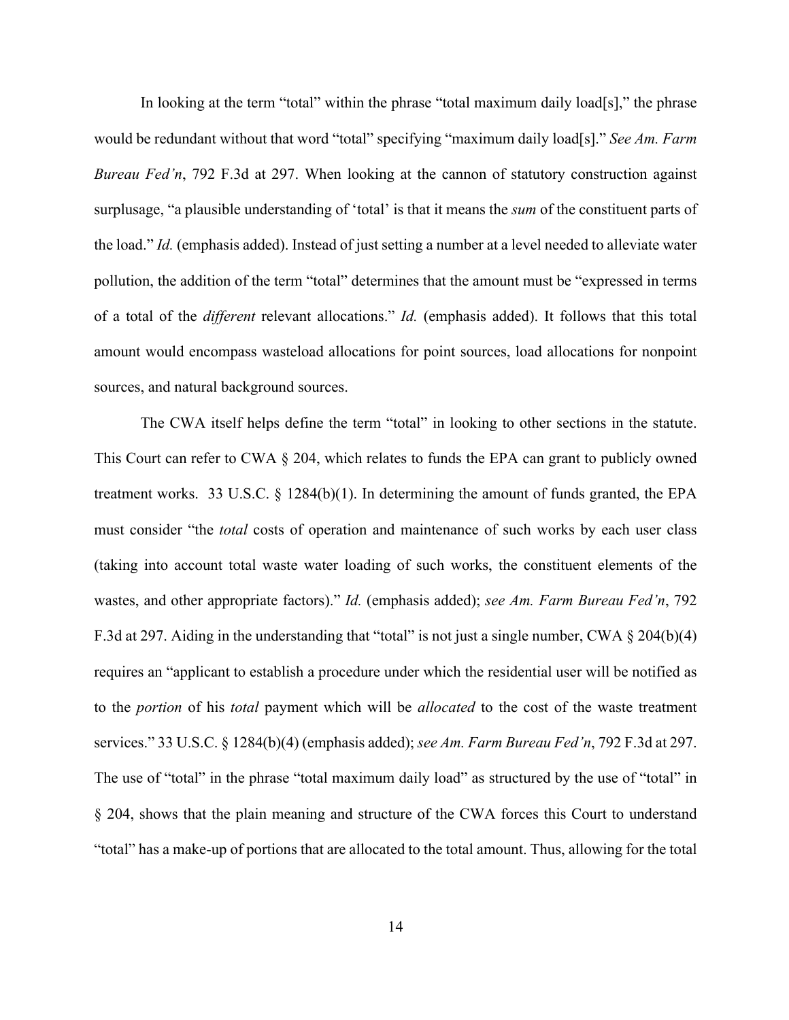In looking at the term "total" within the phrase "total maximum daily load[s]," the phrase would be redundant without that word "total" specifying "maximum daily load[s]." *See Am. Farm Bureau Fed'n*, 792 F.3d at 297. When looking at the cannon of statutory construction against surplusage, "a plausible understanding of 'total' is that it means the *sum* of the constituent parts of the load." *Id.* (emphasis added). Instead of just setting a number at a level needed to alleviate water pollution, the addition of the term "total" determines that the amount must be "expressed in terms of a total of the *different* relevant allocations." *Id.* (emphasis added). It follows that this total amount would encompass wasteload allocations for point sources, load allocations for nonpoint sources, and natural background sources.

The CWA itself helps define the term "total" in looking to other sections in the statute. This Court can refer to CWA  $\S$  204, which relates to funds the EPA can grant to publicly owned treatment works. 33 U.S.C. § 1284(b)(1). In determining the amount of funds granted, the EPA must consider "the *total* costs of operation and maintenance of such works by each user class (taking into account total waste water loading of such works, the constituent elements of the wastes, and other appropriate factors)." *Id.* (emphasis added); *see Am. Farm Bureau Fed'n*, 792 F.3d at 297. Aiding in the understanding that "total" is not just a single number, CWA  $\S 204(b)(4)$ requires an "applicant to establish a procedure under which the residential user will be notified as to the *portion* of his *total* payment which will be *allocated* to the cost of the waste treatment services." 33 U.S.C. § 1284(b)(4) (emphasis added); *see Am. Farm Bureau Fed'n*, 792 F.3d at 297. The use of "total" in the phrase "total maximum daily load" as structured by the use of "total" in § 204, shows that the plain meaning and structure of the CWA forces this Court to understand "total" has a make-up of portions that are allocated to the total amount. Thus, allowing for the total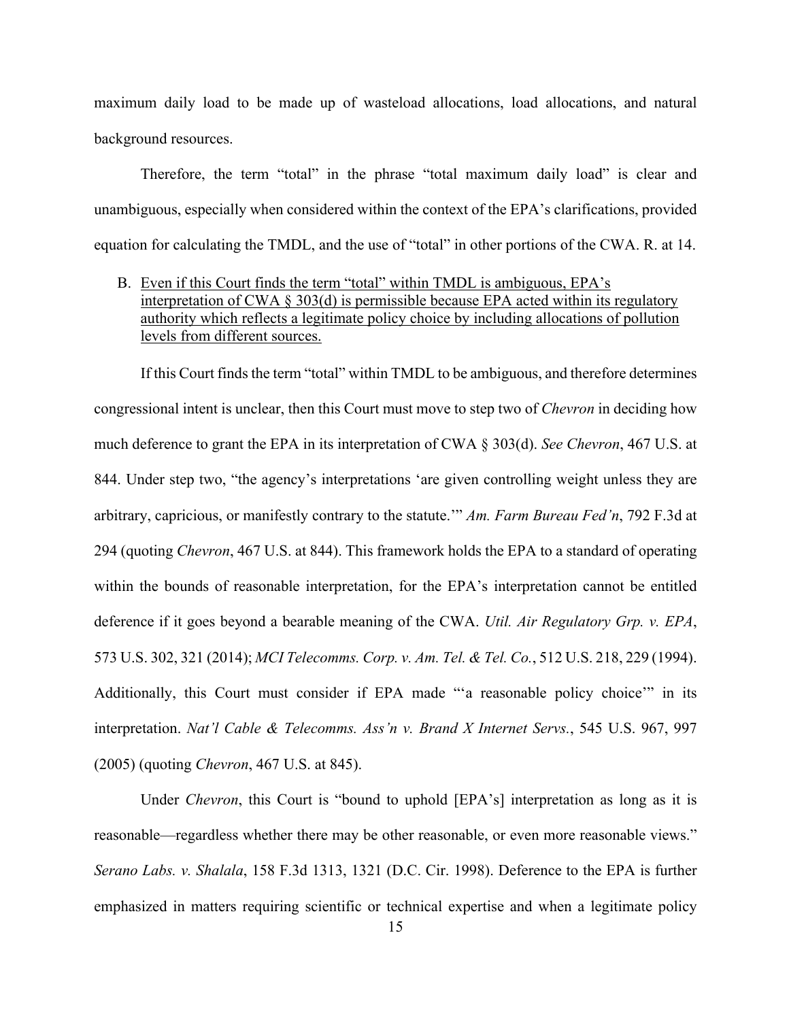maximum daily load to be made up of wasteload allocations, load allocations, and natural background resources.

Therefore, the term "total" in the phrase "total maximum daily load" is clear and unambiguous, especially when considered within the context of the EPA's clarifications, provided equation for calculating the TMDL, and the use of "total" in other portions of the CWA. R. at 14.

B. Even if this Court finds the term "total" within TMDL is ambiguous, EPA's interpretation of CWA § 303(d) is permissible because EPA acted within its regulatory authority which reflects a legitimate policy choice by including allocations of pollution levels from different sources.

If this Court finds the term "total" within TMDL to be ambiguous, and therefore determines congressional intent is unclear, then this Court must move to step two of *Chevron* in deciding how much deference to grant the EPA in its interpretation of CWA § 303(d). *See Chevron*, 467 U.S. at 844. Under step two, "the agency's interpretations 'are given controlling weight unless they are arbitrary, capricious, or manifestly contrary to the statute.'" *Am. Farm Bureau Fed'n*, 792 F.3d at 294 (quoting *Chevron*, 467 U.S. at 844). This framework holds the EPA to a standard of operating within the bounds of reasonable interpretation, for the EPA's interpretation cannot be entitled deference if it goes beyond a bearable meaning of the CWA. *Util. Air Regulatory Grp. v. EPA*, 573 U.S. 302, 321 (2014); *MCI Telecomms. Corp. v. Am. Tel. & Tel. Co.*, 512 U.S. 218, 229 (1994). Additionally, this Court must consider if EPA made "'a reasonable policy choice'" in its interpretation. *Nat'l Cable & Telecomms. Ass'n v. Brand X Internet Servs.*, 545 U.S. 967, 997 (2005) (quoting *Chevron*, 467 U.S. at 845).

Under *Chevron*, this Court is "bound to uphold [EPA's] interpretation as long as it is reasonable—regardless whether there may be other reasonable, or even more reasonable views." *Serano Labs. v. Shalala*, 158 F.3d 1313, 1321 (D.C. Cir. 1998). Deference to the EPA is further emphasized in matters requiring scientific or technical expertise and when a legitimate policy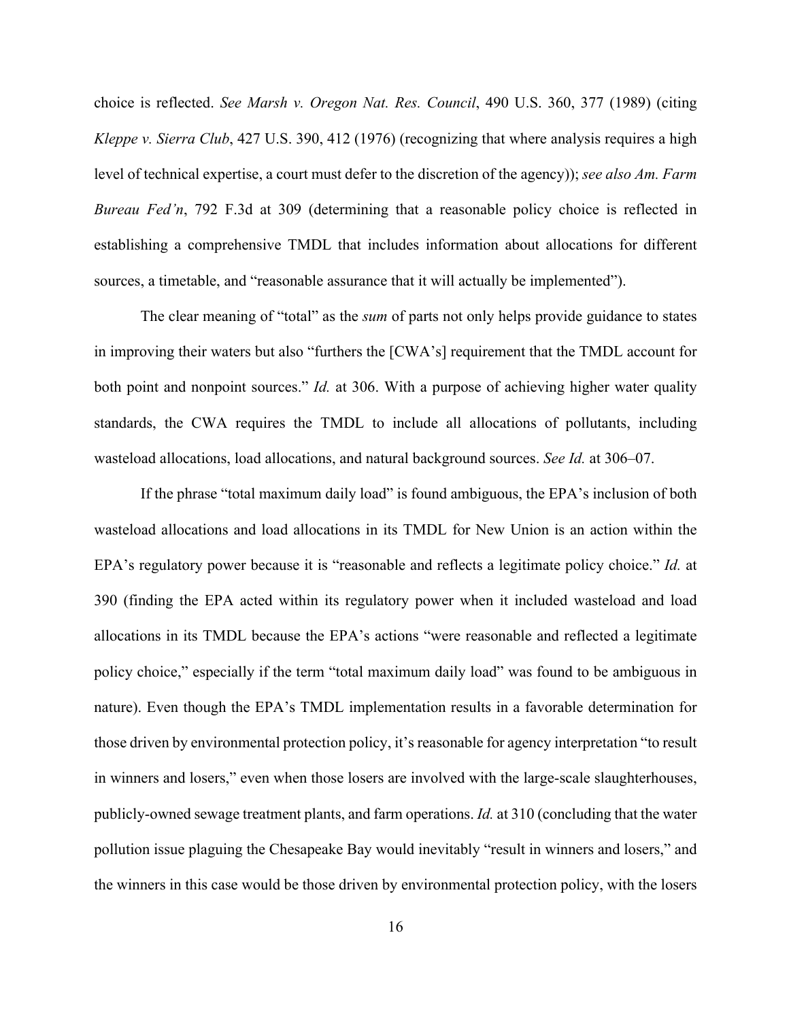choice is reflected. *See Marsh v. Oregon Nat. Res. Council*, 490 U.S. 360, 377 (1989) (citing *Kleppe v. Sierra Club*, 427 U.S. 390, 412 (1976) (recognizing that where analysis requires a high level of technical expertise, a court must defer to the discretion of the agency)); *see also Am. Farm Bureau Fed'n*, 792 F.3d at 309 (determining that a reasonable policy choice is reflected in establishing a comprehensive TMDL that includes information about allocations for different sources, a timetable, and "reasonable assurance that it will actually be implemented").

The clear meaning of "total" as the *sum* of parts not only helps provide guidance to states in improving their waters but also "furthers the [CWA's] requirement that the TMDL account for both point and nonpoint sources." *Id.* at 306. With a purpose of achieving higher water quality standards, the CWA requires the TMDL to include all allocations of pollutants, including wasteload allocations, load allocations, and natural background sources. *See Id.* at 306–07.

If the phrase "total maximum daily load" is found ambiguous, the EPA's inclusion of both wasteload allocations and load allocations in its TMDL for New Union is an action within the EPA's regulatory power because it is "reasonable and reflects a legitimate policy choice." *Id.* at 390 (finding the EPA acted within its regulatory power when it included wasteload and load allocations in its TMDL because the EPA's actions "were reasonable and reflected a legitimate policy choice," especially if the term "total maximum daily load" was found to be ambiguous in nature). Even though the EPA's TMDL implementation results in a favorable determination for those driven by environmental protection policy, it's reasonable for agency interpretation "to result in winners and losers," even when those losers are involved with the large-scale slaughterhouses, publicly-owned sewage treatment plants, and farm operations. *Id.* at 310 (concluding that the water pollution issue plaguing the Chesapeake Bay would inevitably "result in winners and losers," and the winners in this case would be those driven by environmental protection policy, with the losers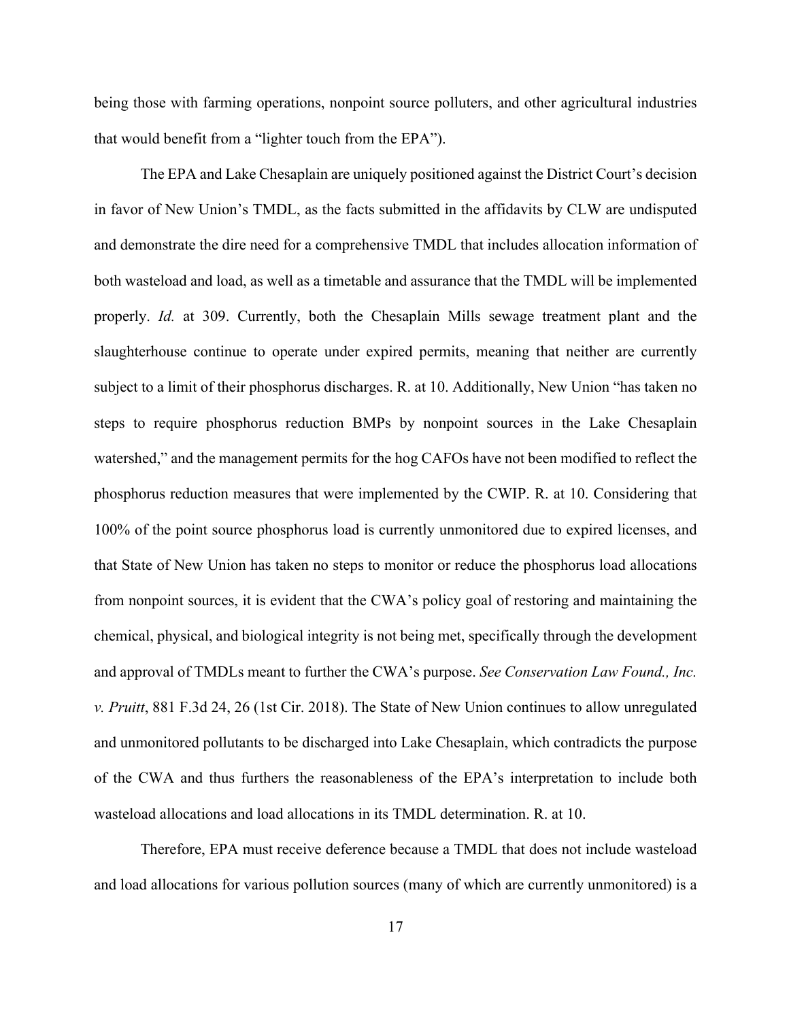being those with farming operations, nonpoint source polluters, and other agricultural industries that would benefit from a "lighter touch from the EPA").

The EPA and Lake Chesaplain are uniquely positioned against the District Court's decision in favor of New Union's TMDL, as the facts submitted in the affidavits by CLW are undisputed and demonstrate the dire need for a comprehensive TMDL that includes allocation information of both wasteload and load, as well as a timetable and assurance that the TMDL will be implemented properly. *Id.* at 309. Currently, both the Chesaplain Mills sewage treatment plant and the slaughterhouse continue to operate under expired permits, meaning that neither are currently subject to a limit of their phosphorus discharges. R. at 10. Additionally, New Union "has taken no steps to require phosphorus reduction BMPs by nonpoint sources in the Lake Chesaplain watershed," and the management permits for the hog CAFOs have not been modified to reflect the phosphorus reduction measures that were implemented by the CWIP. R. at 10. Considering that 100% of the point source phosphorus load is currently unmonitored due to expired licenses, and that State of New Union has taken no steps to monitor or reduce the phosphorus load allocations from nonpoint sources, it is evident that the CWA's policy goal of restoring and maintaining the chemical, physical, and biological integrity is not being met, specifically through the development and approval of TMDLs meant to further the CWA's purpose. *See Conservation Law Found., Inc. v. Pruitt*, 881 F.3d 24, 26 (1st Cir. 2018). The State of New Union continues to allow unregulated and unmonitored pollutants to be discharged into Lake Chesaplain, which contradicts the purpose of the CWA and thus furthers the reasonableness of the EPA's interpretation to include both wasteload allocations and load allocations in its TMDL determination. R. at 10.

Therefore, EPA must receive deference because a TMDL that does not include wasteload and load allocations for various pollution sources (many of which are currently unmonitored) is a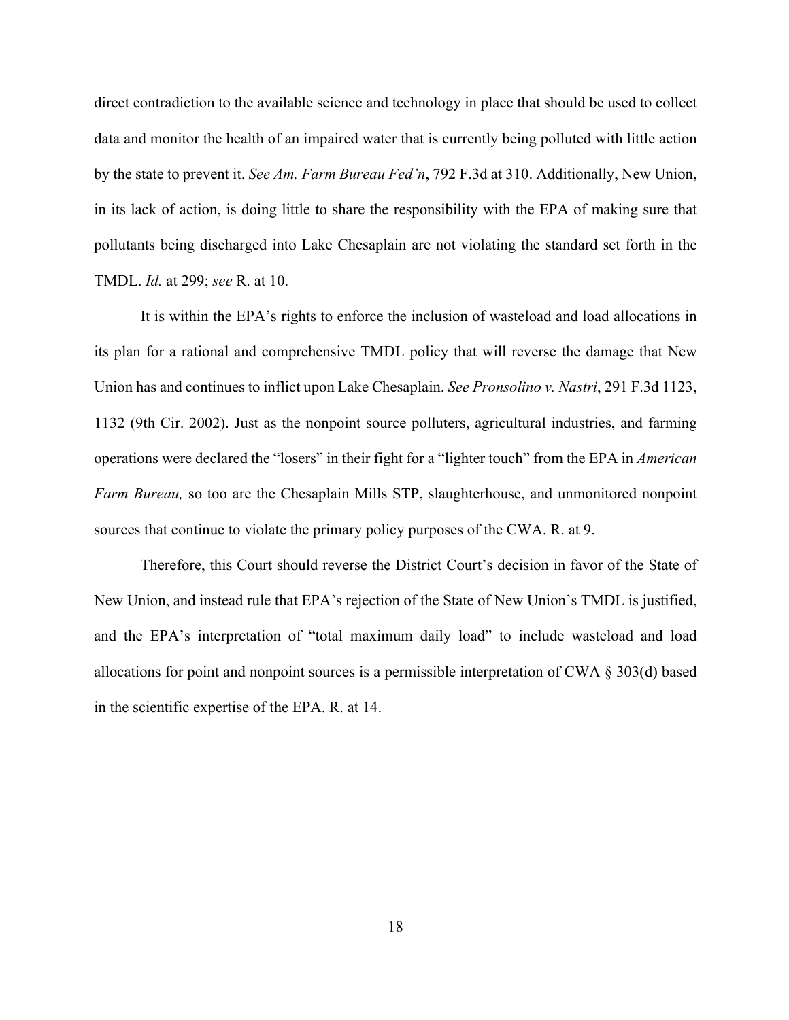direct contradiction to the available science and technology in place that should be used to collect data and monitor the health of an impaired water that is currently being polluted with little action by the state to prevent it. *See Am. Farm Bureau Fed'n*, 792 F.3d at 310. Additionally, New Union, in its lack of action, is doing little to share the responsibility with the EPA of making sure that pollutants being discharged into Lake Chesaplain are not violating the standard set forth in the TMDL. *Id.* at 299; *see* R. at 10.

It is within the EPA's rights to enforce the inclusion of wasteload and load allocations in its plan for a rational and comprehensive TMDL policy that will reverse the damage that New Union has and continues to inflict upon Lake Chesaplain. *See Pronsolino v. Nastri*, 291 F.3d 1123, 1132 (9th Cir. 2002). Just as the nonpoint source polluters, agricultural industries, and farming operations were declared the "losers" in their fight for a "lighter touch" from the EPA in *American Farm Bureau,* so too are the Chesaplain Mills STP, slaughterhouse, and unmonitored nonpoint sources that continue to violate the primary policy purposes of the CWA. R. at 9.

Therefore, this Court should reverse the District Court's decision in favor of the State of New Union, and instead rule that EPA's rejection of the State of New Union's TMDL is justified, and the EPA's interpretation of "total maximum daily load" to include wasteload and load allocations for point and nonpoint sources is a permissible interpretation of CWA § 303(d) based in the scientific expertise of the EPA. R. at 14.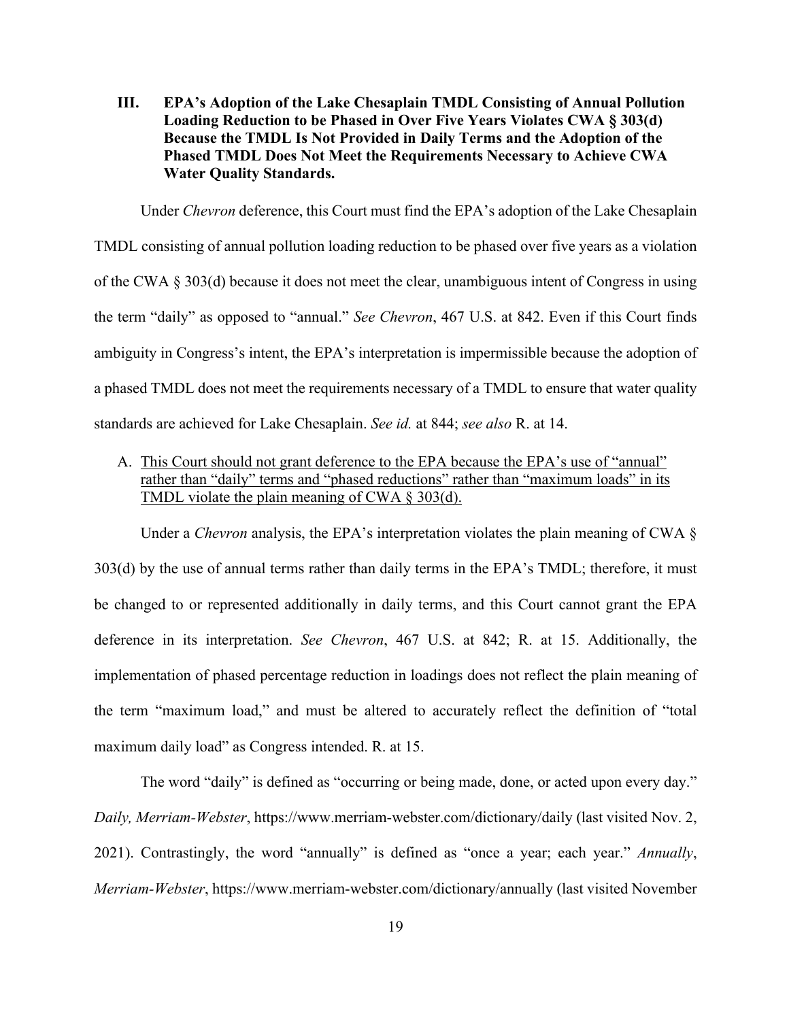**III. EPA's Adoption of the Lake Chesaplain TMDL Consisting of Annual Pollution Loading Reduction to be Phased in Over Five Years Violates CWA § 303(d) Because the TMDL Is Not Provided in Daily Terms and the Adoption of the Phased TMDL Does Not Meet the Requirements Necessary to Achieve CWA Water Quality Standards.** 

Under *Chevron* deference, this Court must find the EPA's adoption of the Lake Chesaplain TMDL consisting of annual pollution loading reduction to be phased over five years as a violation of the CWA § 303(d) because it does not meet the clear, unambiguous intent of Congress in using the term "daily" as opposed to "annual." *See Chevron*, 467 U.S. at 842. Even if this Court finds ambiguity in Congress's intent, the EPA's interpretation is impermissible because the adoption of a phased TMDL does not meet the requirements necessary of a TMDL to ensure that water quality standards are achieved for Lake Chesaplain. *See id.* at 844; *see also* R. at 14.

A. This Court should not grant deference to the EPA because the EPA's use of "annual" rather than "daily" terms and "phased reductions" rather than "maximum loads" in its TMDL violate the plain meaning of CWA § 303(d).

Under a *Chevron* analysis, the EPA's interpretation violates the plain meaning of CWA  $\S$ 303(d) by the use of annual terms rather than daily terms in the EPA's TMDL; therefore, it must be changed to or represented additionally in daily terms, and this Court cannot grant the EPA deference in its interpretation. *See Chevron*, 467 U.S. at 842; R. at 15. Additionally, the implementation of phased percentage reduction in loadings does not reflect the plain meaning of the term "maximum load," and must be altered to accurately reflect the definition of "total maximum daily load" as Congress intended. R. at 15.

The word "daily" is defined as "occurring or being made, done, or acted upon every day." *Daily, Merriam-Webster*, https://www.merriam-webster.com/dictionary/daily (last visited Nov. 2, 2021). Contrastingly, the word "annually" is defined as "once a year; each year." *Annually*, *Merriam-Webster*, https://www.merriam-webster.com/dictionary/annually (last visited November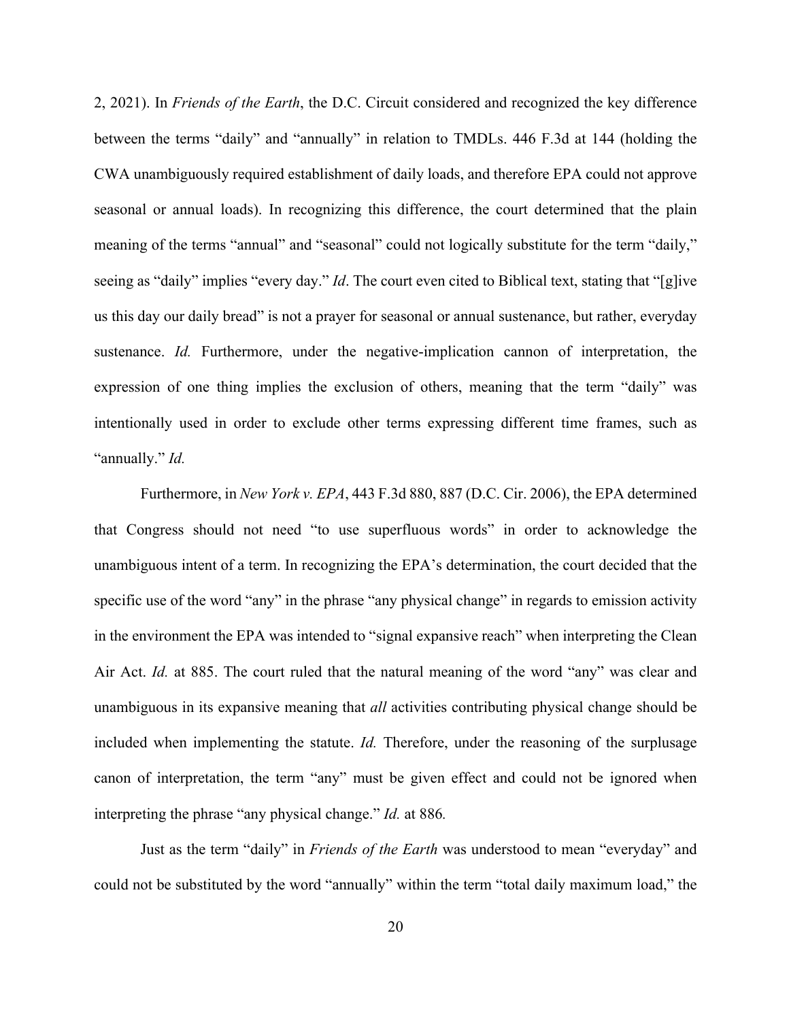2, 2021). In *Friends of the Earth*, the D.C. Circuit considered and recognized the key difference between the terms "daily" and "annually" in relation to TMDLs. 446 F.3d at 144 (holding the CWA unambiguously required establishment of daily loads, and therefore EPA could not approve seasonal or annual loads). In recognizing this difference, the court determined that the plain meaning of the terms "annual" and "seasonal" could not logically substitute for the term "daily," seeing as "daily" implies "every day." *Id*. The court even cited to Biblical text, stating that "[g]ive us this day our daily bread" is not a prayer for seasonal or annual sustenance, but rather, everyday sustenance. *Id.* Furthermore, under the negative-implication cannon of interpretation, the expression of one thing implies the exclusion of others, meaning that the term "daily" was intentionally used in order to exclude other terms expressing different time frames, such as "annually." *Id.*

Furthermore, in *New York v. EPA*, 443 F.3d 880, 887 (D.C. Cir. 2006), the EPA determined that Congress should not need "to use superfluous words" in order to acknowledge the unambiguous intent of a term. In recognizing the EPA's determination, the court decided that the specific use of the word "any" in the phrase "any physical change" in regards to emission activity in the environment the EPA was intended to "signal expansive reach" when interpreting the Clean Air Act. *Id.* at 885. The court ruled that the natural meaning of the word "any" was clear and unambiguous in its expansive meaning that *all* activities contributing physical change should be included when implementing the statute. *Id.* Therefore, under the reasoning of the surplusage canon of interpretation, the term "any" must be given effect and could not be ignored when interpreting the phrase "any physical change." *Id.* at 886*.* 

Just as the term "daily" in *Friends of the Earth* was understood to mean "everyday" and could not be substituted by the word "annually" within the term "total daily maximum load," the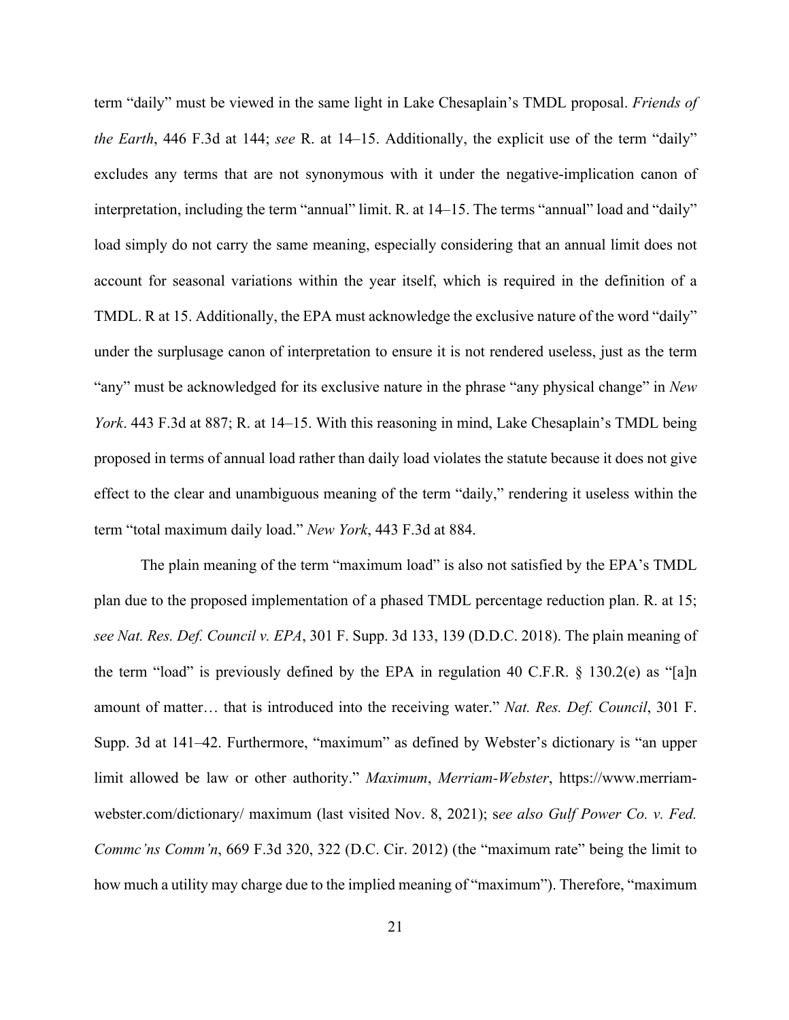term "daily" must be viewed in the same light in Lake Chesaplain's TMDL proposal. *Friends of the Earth*, 446 F.3d at 144; *see* R. at 14–15. Additionally, the explicit use of the term "daily" excludes any terms that are not synonymous with it under the negative-implication canon of interpretation, including the term "annual" limit. R. at 14–15. The terms "annual" load and "daily" load simply do not carry the same meaning, especially considering that an annual limit does not account for seasonal variations within the year itself, which is required in the definition of a TMDL. R at 15. Additionally, the EPA must acknowledge the exclusive nature of the word "daily" under the surplusage canon of interpretation to ensure it is not rendered useless, just as the term "any" must be acknowledged for its exclusive nature in the phrase "any physical change" in *New York*. 443 F.3d at 887; R. at 14–15. With this reasoning in mind, Lake Chesaplain's TMDL being proposed in terms of annual load rather than daily load violates the statute because it does not give effect to the clear and unambiguous meaning of the term "daily," rendering it useless within the term "total maximum daily load." *New York*, 443 F.3d at 884.

The plain meaning of the term "maximum load" is also not satisfied by the EPA's TMDL plan due to the proposed implementation of a phased TMDL percentage reduction plan. R. at 15; *see Nat. Res. Def. Council v. EPA*, 301 F. Supp. 3d 133, 139 (D.D.C. 2018). The plain meaning of the term "load" is previously defined by the EPA in regulation 40 C.F.R.  $\S$  130.2(e) as "[a]n amount of matter… that is introduced into the receiving water." *Nat. Res. Def. Council*, 301 F. Supp. 3d at 141–42. Furthermore, "maximum" as defined by Webster's dictionary is "an upper limit allowed be law or other authority." *Maximum*, *Merriam-Webster*, https://www.merriamwebster.com/dictionary/ maximum (last visited Nov. 8, 2021); s*ee also Gulf Power Co. v. Fed. Commc'ns Comm'n*, 669 F.3d 320, 322 (D.C. Cir. 2012) (the "maximum rate" being the limit to how much a utility may charge due to the implied meaning of "maximum"). Therefore, "maximum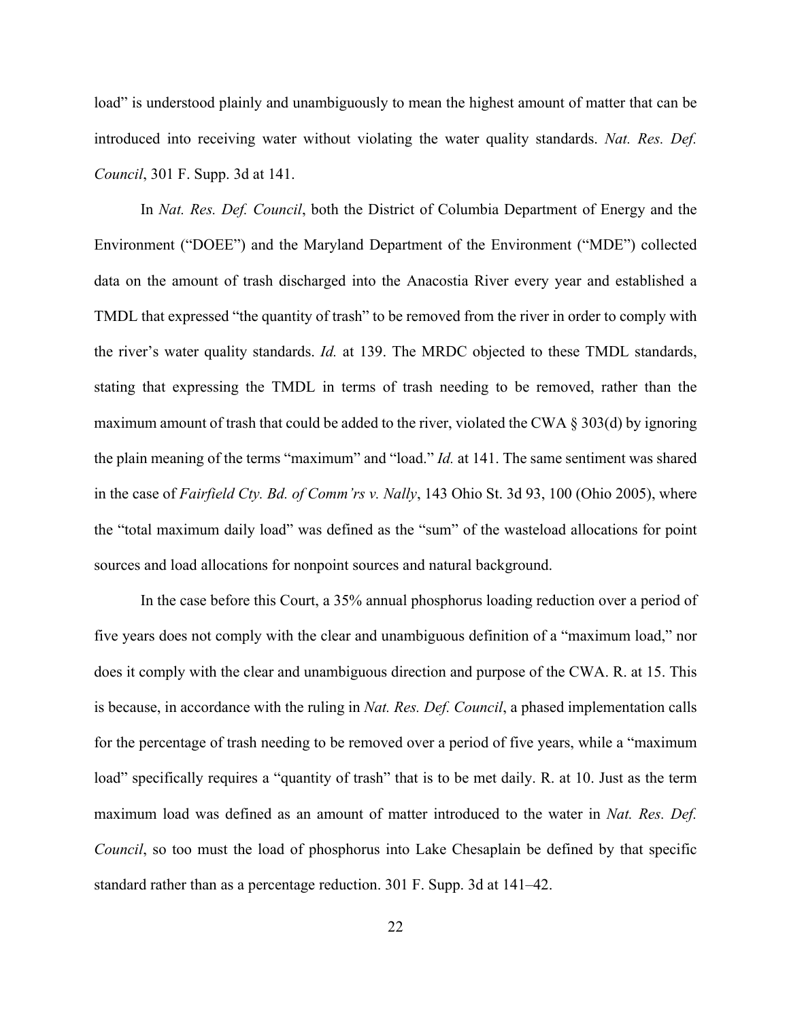load" is understood plainly and unambiguously to mean the highest amount of matter that can be introduced into receiving water without violating the water quality standards. *Nat. Res. Def. Council*, 301 F. Supp. 3d at 141.

In *Nat. Res. Def. Council*, both the District of Columbia Department of Energy and the Environment ("DOEE") and the Maryland Department of the Environment ("MDE") collected data on the amount of trash discharged into the Anacostia River every year and established a TMDL that expressed "the quantity of trash" to be removed from the river in order to comply with the river's water quality standards. *Id.* at 139. The MRDC objected to these TMDL standards, stating that expressing the TMDL in terms of trash needing to be removed, rather than the maximum amount of trash that could be added to the river, violated the CWA § 303(d) by ignoring the plain meaning of the terms "maximum" and "load." *Id.* at 141. The same sentiment was shared in the case of *Fairfield Cty. Bd. of Comm'rs v. Nally*, 143 Ohio St. 3d 93, 100 (Ohio 2005), where the "total maximum daily load" was defined as the "sum" of the wasteload allocations for point sources and load allocations for nonpoint sources and natural background.

In the case before this Court, a 35% annual phosphorus loading reduction over a period of five years does not comply with the clear and unambiguous definition of a "maximum load," nor does it comply with the clear and unambiguous direction and purpose of the CWA. R. at 15. This is because, in accordance with the ruling in *Nat. Res. Def. Council*, a phased implementation calls for the percentage of trash needing to be removed over a period of five years, while a "maximum load" specifically requires a "quantity of trash" that is to be met daily. R. at 10. Just as the term maximum load was defined as an amount of matter introduced to the water in *Nat. Res. Def. Council*, so too must the load of phosphorus into Lake Chesaplain be defined by that specific standard rather than as a percentage reduction. 301 F. Supp. 3d at 141–42.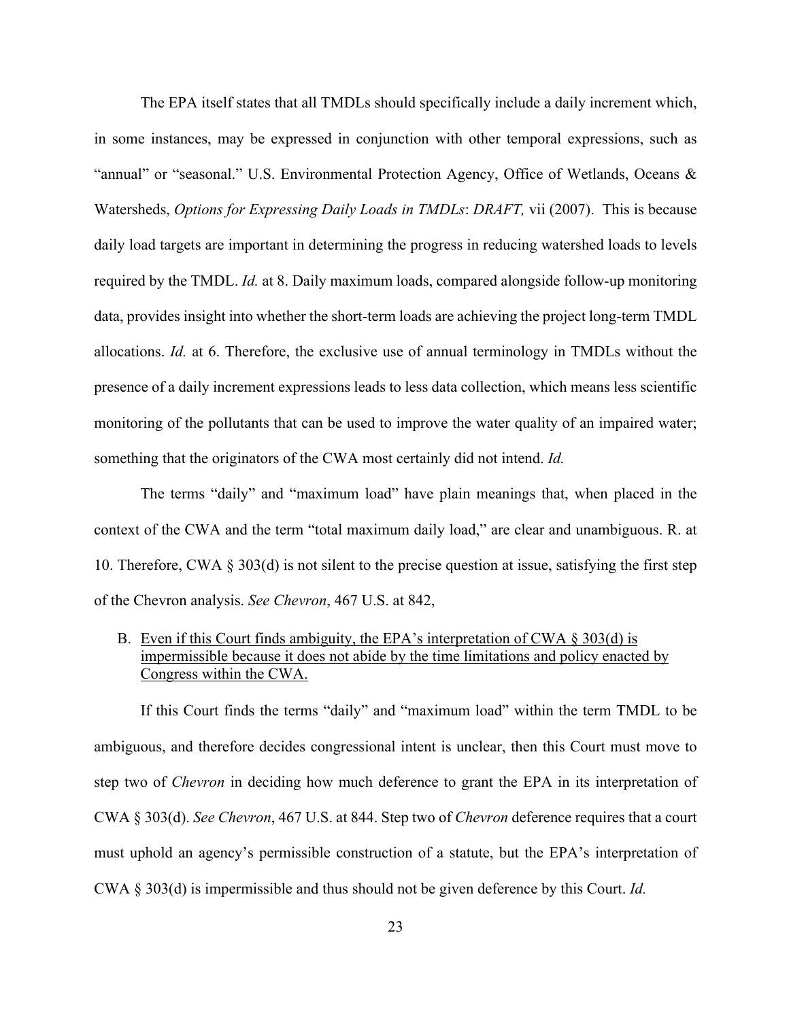The EPA itself states that all TMDLs should specifically include a daily increment which, in some instances, may be expressed in conjunction with other temporal expressions, such as "annual" or "seasonal." U.S. Environmental Protection Agency, Office of Wetlands, Oceans & Watersheds, *Options for Expressing Daily Loads in TMDLs*: *DRAFT,* vii (2007). This is because daily load targets are important in determining the progress in reducing watershed loads to levels required by the TMDL. *Id.* at 8. Daily maximum loads, compared alongside follow-up monitoring data, provides insight into whether the short-term loads are achieving the project long-term TMDL allocations. *Id.* at 6. Therefore, the exclusive use of annual terminology in TMDLs without the presence of a daily increment expressions leads to less data collection, which means less scientific monitoring of the pollutants that can be used to improve the water quality of an impaired water; something that the originators of the CWA most certainly did not intend. *Id.*

The terms "daily" and "maximum load" have plain meanings that, when placed in the context of the CWA and the term "total maximum daily load," are clear and unambiguous. R. at 10. Therefore, CWA § 303(d) is not silent to the precise question at issue, satisfying the first step of the Chevron analysis. *See Chevron*, 467 U.S. at 842,

B. Even if this Court finds ambiguity, the EPA's interpretation of CWA  $\S 303(d)$  is impermissible because it does not abide by the time limitations and policy enacted by Congress within the CWA.

If this Court finds the terms "daily" and "maximum load" within the term TMDL to be ambiguous, and therefore decides congressional intent is unclear, then this Court must move to step two of *Chevron* in deciding how much deference to grant the EPA in its interpretation of CWA § 303(d). *See Chevron*, 467 U.S. at 844. Step two of *Chevron* deference requires that a court must uphold an agency's permissible construction of a statute, but the EPA's interpretation of CWA § 303(d) is impermissible and thus should not be given deference by this Court. *Id.*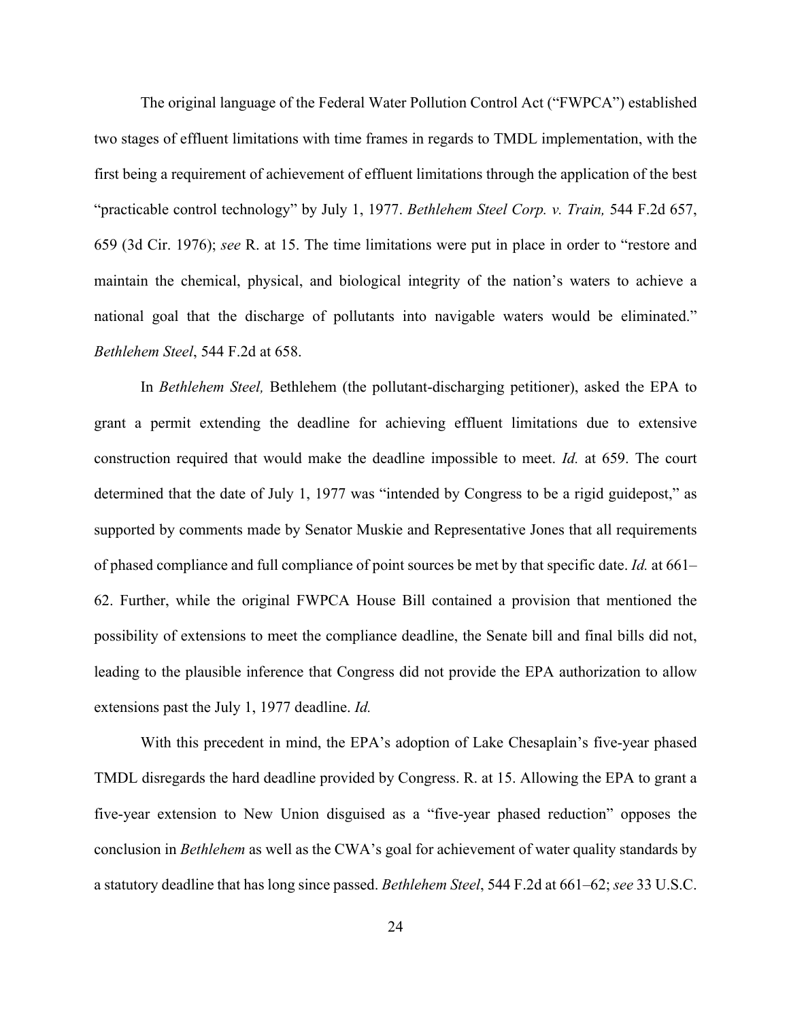The original language of the Federal Water Pollution Control Act ("FWPCA") established two stages of effluent limitations with time frames in regards to TMDL implementation, with the first being a requirement of achievement of effluent limitations through the application of the best "practicable control technology" by July 1, 1977. *Bethlehem Steel Corp. v. Train,* 544 F.2d 657, 659 (3d Cir. 1976); *see* R. at 15. The time limitations were put in place in order to "restore and maintain the chemical, physical, and biological integrity of the nation's waters to achieve a national goal that the discharge of pollutants into navigable waters would be eliminated." *Bethlehem Steel*, 544 F.2d at 658.

In *Bethlehem Steel,* Bethlehem (the pollutant-discharging petitioner), asked the EPA to grant a permit extending the deadline for achieving effluent limitations due to extensive construction required that would make the deadline impossible to meet. *Id.* at 659. The court determined that the date of July 1, 1977 was "intended by Congress to be a rigid guidepost," as supported by comments made by Senator Muskie and Representative Jones that all requirements of phased compliance and full compliance of point sources be met by that specific date. *Id.* at 661– 62. Further, while the original FWPCA House Bill contained a provision that mentioned the possibility of extensions to meet the compliance deadline, the Senate bill and final bills did not, leading to the plausible inference that Congress did not provide the EPA authorization to allow extensions past the July 1, 1977 deadline. *Id.*

With this precedent in mind, the EPA's adoption of Lake Chesaplain's five-year phased TMDL disregards the hard deadline provided by Congress. R. at 15. Allowing the EPA to grant a five-year extension to New Union disguised as a "five-year phased reduction" opposes the conclusion in *Bethlehem* as well as the CWA's goal for achievement of water quality standards by a statutory deadline that has long since passed. *Bethlehem Steel*, 544 F.2d at 661–62; *see* 33 U.S.C.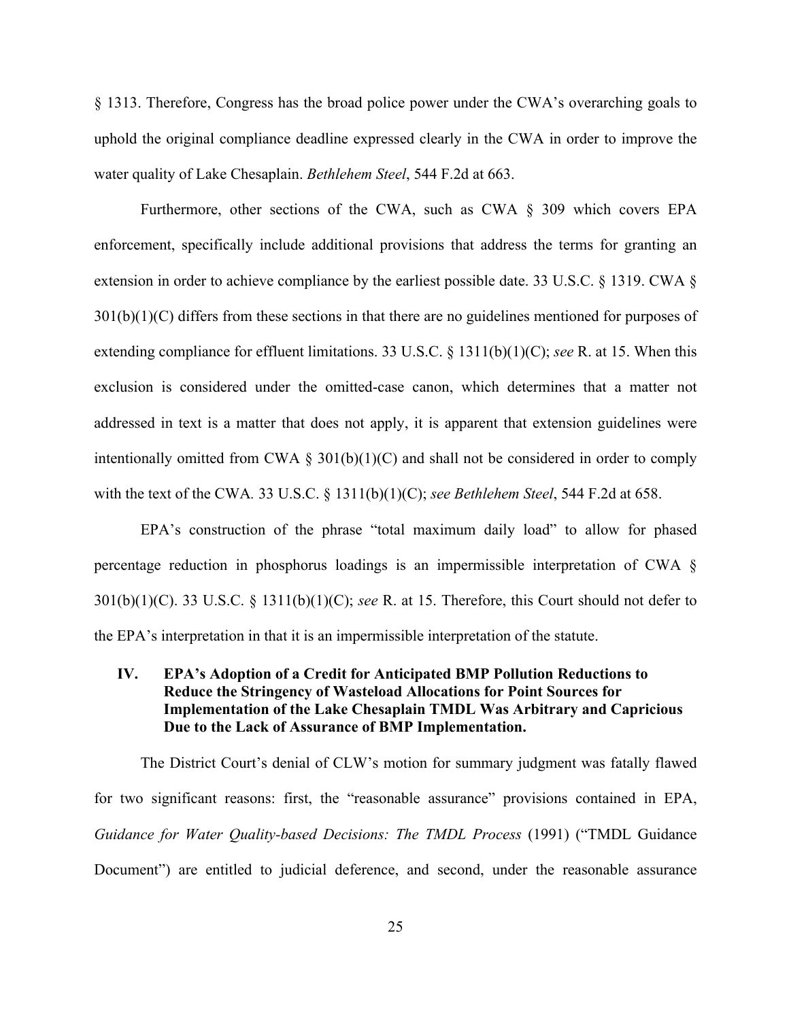§ 1313. Therefore, Congress has the broad police power under the CWA's overarching goals to uphold the original compliance deadline expressed clearly in the CWA in order to improve the water quality of Lake Chesaplain. *Bethlehem Steel*, 544 F.2d at 663.

Furthermore, other sections of the CWA, such as CWA § 309 which covers EPA enforcement, specifically include additional provisions that address the terms for granting an extension in order to achieve compliance by the earliest possible date. 33 U.S.C. § 1319. CWA §  $301(b)(1)(C)$  differs from these sections in that there are no guidelines mentioned for purposes of extending compliance for effluent limitations. 33 U.S.C. § 1311(b)(1)(C); *see* R. at 15. When this exclusion is considered under the omitted-case canon, which determines that a matter not addressed in text is a matter that does not apply, it is apparent that extension guidelines were intentionally omitted from CWA  $\S 301(b)(1)(C)$  and shall not be considered in order to comply with the text of the CWA*.* 33 U.S.C. § 1311(b)(1)(C); *see Bethlehem Steel*, 544 F.2d at 658.

EPA's construction of the phrase "total maximum daily load" to allow for phased percentage reduction in phosphorus loadings is an impermissible interpretation of CWA § 301(b)(1)(C). 33 U.S.C. § 1311(b)(1)(C); *see* R. at 15. Therefore, this Court should not defer to the EPA's interpretation in that it is an impermissible interpretation of the statute.

## **IV. EPA's Adoption of a Credit for Anticipated BMP Pollution Reductions to Reduce the Stringency of Wasteload Allocations for Point Sources for Implementation of the Lake Chesaplain TMDL Was Arbitrary and Capricious Due to the Lack of Assurance of BMP Implementation.**

The District Court's denial of CLW's motion for summary judgment was fatally flawed for two significant reasons: first, the "reasonable assurance" provisions contained in EPA, *Guidance for Water Quality-based Decisions: The TMDL Process* (1991) ("TMDL Guidance Document") are entitled to judicial deference, and second, under the reasonable assurance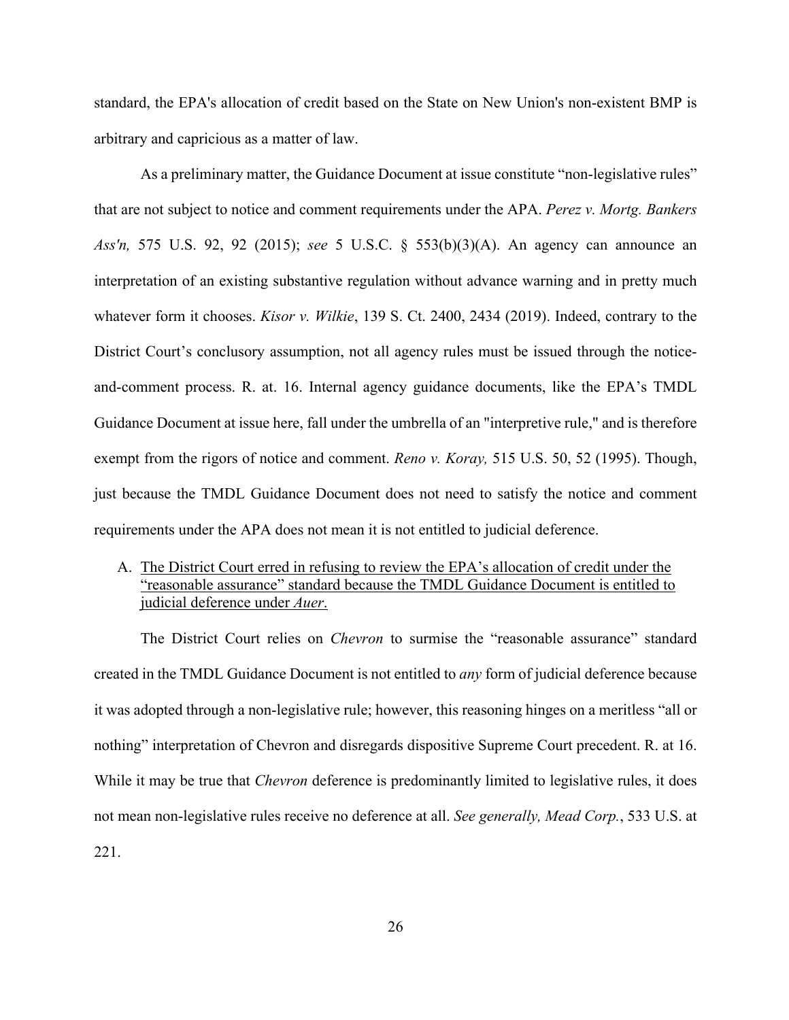standard, the EPA's allocation of credit based on the State on New Union's non-existent BMP is arbitrary and capricious as a matter of law.

As a preliminary matter, the Guidance Document at issue constitute "non-legislative rules" that are not subject to notice and comment requirements under the APA. *Perez v. Mortg. Bankers Ass'n,* 575 U.S. 92, 92 (2015); *see* 5 U.S.C. § 553(b)(3)(A). An agency can announce an interpretation of an existing substantive regulation without advance warning and in pretty much whatever form it chooses. *Kisor v. Wilkie*, 139 S. Ct. 2400, 2434 (2019). Indeed, contrary to the District Court's conclusory assumption, not all agency rules must be issued through the noticeand-comment process. R. at. 16. Internal agency guidance documents, like the EPA's TMDL Guidance Document at issue here, fall under the umbrella of an "interpretive rule," and is therefore exempt from the rigors of notice and comment. *Reno v. Koray,* 515 U.S. 50, 52 (1995). Though, just because the TMDL Guidance Document does not need to satisfy the notice and comment requirements under the APA does not mean it is not entitled to judicial deference.

### A. The District Court erred in refusing to review the EPA's allocation of credit under the "reasonable assurance" standard because the TMDL Guidance Document is entitled to judicial deference under *Auer*.

The District Court relies on *Chevron* to surmise the "reasonable assurance" standard created in the TMDL Guidance Document is not entitled to *any* form of judicial deference because it was adopted through a non-legislative rule; however, this reasoning hinges on a meritless "all or nothing" interpretation of Chevron and disregards dispositive Supreme Court precedent. R. at 16. While it may be true that *Chevron* deference is predominantly limited to legislative rules, it does not mean non-legislative rules receive no deference at all. *See generally, Mead Corp.*, 533 U.S. at 221.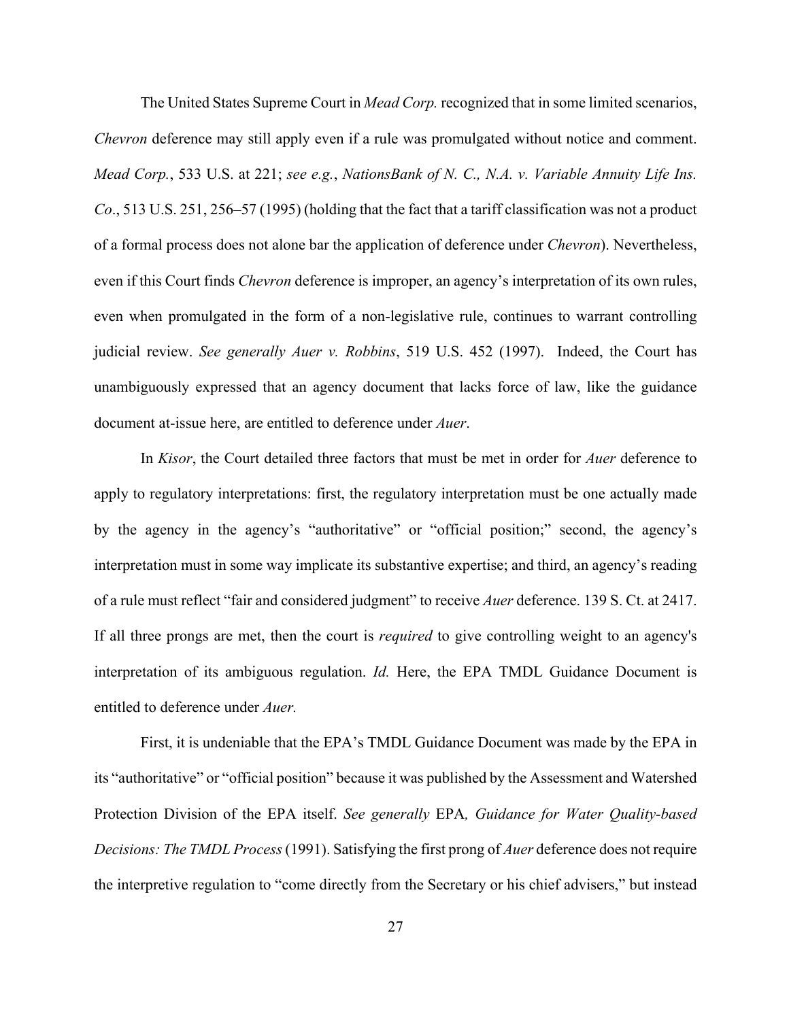The United States Supreme Court in *Mead Corp.* recognized that in some limited scenarios, *Chevron* deference may still apply even if a rule was promulgated without notice and comment. *Mead Corp.*, 533 U.S. at 221; *see e.g.*, *NationsBank of N. C., N.A. v. Variable Annuity Life Ins. Co*., 513 U.S. 251, 256–57 (1995) (holding that the fact that a tariff classification was not a product of a formal process does not alone bar the application of deference under *Chevron*). Nevertheless, even if this Court finds *Chevron* deference is improper, an agency's interpretation of its own rules, even when promulgated in the form of a non-legislative rule, continues to warrant controlling judicial review. *See generally Auer v. Robbins*, 519 U.S. 452 (1997). Indeed, the Court has unambiguously expressed that an agency document that lacks force of law, like the guidance document at-issue here, are entitled to deference under *Auer*.

In *Kisor*, the Court detailed three factors that must be met in order for *Auer* deference to apply to regulatory interpretations: first, the regulatory interpretation must be one actually made by the agency in the agency's "authoritative" or "official position;" second, the agency's interpretation must in some way implicate its substantive expertise; and third, an agency's reading of a rule must reflect "fair and considered judgment" to receive *Auer* deference. 139 S. Ct. at 2417. If all three prongs are met, then the court is *required* to give controlling weight to an agency's interpretation of its ambiguous regulation. *Id.* Here, the EPA TMDL Guidance Document is entitled to deference under *Auer.*

First, it is undeniable that the EPA's TMDL Guidance Document was made by the EPA in its "authoritative" or "official position" because it was published by the Assessment and Watershed Protection Division of the EPA itself. *See generally* EPA*, Guidance for Water Quality-based Decisions: The TMDL Process*(1991). Satisfying the first prong of *Auer* deference does not require the interpretive regulation to "come directly from the Secretary or his chief advisers," but instead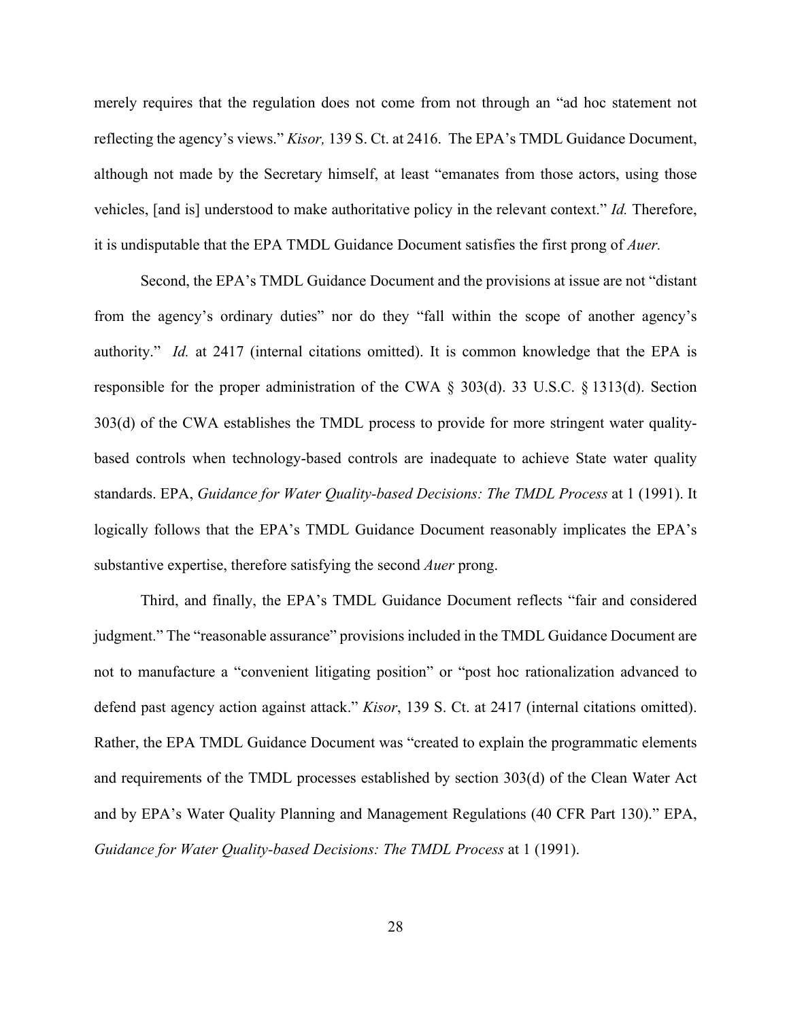merely requires that the regulation does not come from not through an "ad hoc statement not reflecting the agency's views." *Kisor,* 139 S. Ct. at 2416. The EPA's TMDL Guidance Document, although not made by the Secretary himself, at least "emanates from those actors, using those vehicles, [and is] understood to make authoritative policy in the relevant context." *Id.* Therefore, it is undisputable that the EPA TMDL Guidance Document satisfies the first prong of *Auer.*

Second, the EPA's TMDL Guidance Document and the provisions at issue are not "distant from the agency's ordinary duties" nor do they "fall within the scope of another agency's authority." *Id.* at 2417 (internal citations omitted). It is common knowledge that the EPA is responsible for the proper administration of the CWA § 303(d). 33 U.S.C. § 1313(d). Section 303(d) of the CWA establishes the TMDL process to provide for more stringent water qualitybased controls when technology-based controls are inadequate to achieve State water quality standards. EPA, *Guidance for Water Quality-based Decisions: The TMDL Process* at 1 (1991). It logically follows that the EPA's TMDL Guidance Document reasonably implicates the EPA's substantive expertise, therefore satisfying the second *Auer* prong.

Third, and finally, the EPA's TMDL Guidance Document reflects "fair and considered judgment." The "reasonable assurance" provisions included in the TMDL Guidance Document are not to manufacture a "convenient litigating position" or "post hoc rationalization advanced to defend past agency action against attack." *Kisor*, 139 S. Ct. at 2417 (internal citations omitted). Rather, the EPA TMDL Guidance Document was "created to explain the programmatic elements and requirements of the TMDL processes established by section 303(d) of the Clean Water Act and by EPA's Water Quality Planning and Management Regulations (40 CFR Part 130)." EPA, *Guidance for Water Quality-based Decisions: The TMDL Process* at 1 (1991).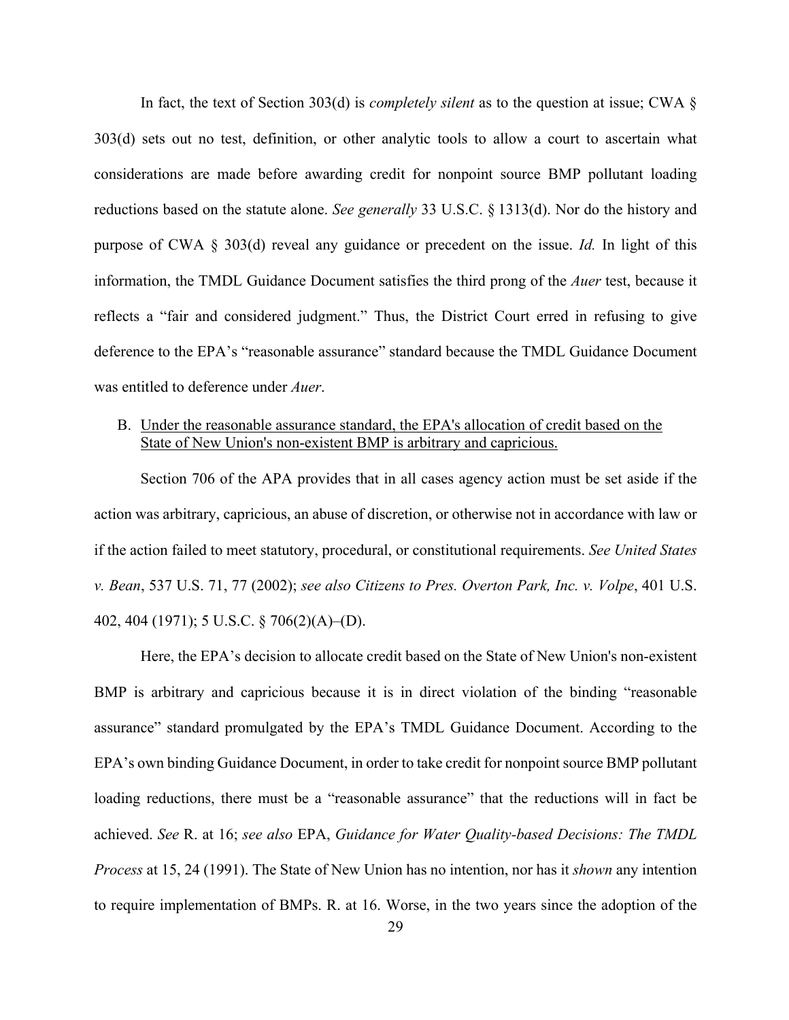In fact, the text of Section 303(d) is *completely silent* as to the question at issue; CWA § 303(d) sets out no test, definition, or other analytic tools to allow a court to ascertain what considerations are made before awarding credit for nonpoint source BMP pollutant loading reductions based on the statute alone. *See generally* 33 U.S.C. § 1313(d). Nor do the history and purpose of CWA § 303(d) reveal any guidance or precedent on the issue. *Id.* In light of this information, the TMDL Guidance Document satisfies the third prong of the *Auer* test, because it reflects a "fair and considered judgment." Thus, the District Court erred in refusing to give deference to the EPA's "reasonable assurance" standard because the TMDL Guidance Document was entitled to deference under *Auer*.

### B. Under the reasonable assurance standard, the EPA's allocation of credit based on the State of New Union's non-existent BMP is arbitrary and capricious.

Section 706 of the APA provides that in all cases agency action must be set aside if the action was arbitrary, capricious, an abuse of discretion, or otherwise not in accordance with law or if the action failed to meet statutory, procedural, or constitutional requirements. *See United States v. Bean*, 537 U.S. 71, 77 (2002); *see also Citizens to Pres. Overton Park, Inc. v. Volpe*, 401 U.S. 402, 404 (1971); 5 U.S.C. § 706(2)(A)–(D).

Here, the EPA's decision to allocate credit based on the State of New Union's non-existent BMP is arbitrary and capricious because it is in direct violation of the binding "reasonable assurance" standard promulgated by the EPA's TMDL Guidance Document. According to the EPA's own binding Guidance Document, in order to take credit for nonpoint source BMP pollutant loading reductions, there must be a "reasonable assurance" that the reductions will in fact be achieved. *See* R. at 16; *see also* EPA, *Guidance for Water Quality-based Decisions: The TMDL Process* at 15, 24 (1991). The State of New Union has no intention, nor has it *shown* any intention to require implementation of BMPs. R. at 16. Worse, in the two years since the adoption of the